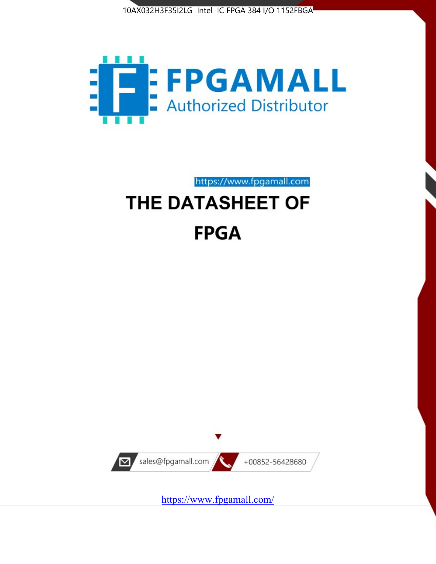



https://www.fpgamall.com

# THE DATASHEET OF **FPGA**



<https://www.fpgamall.com/>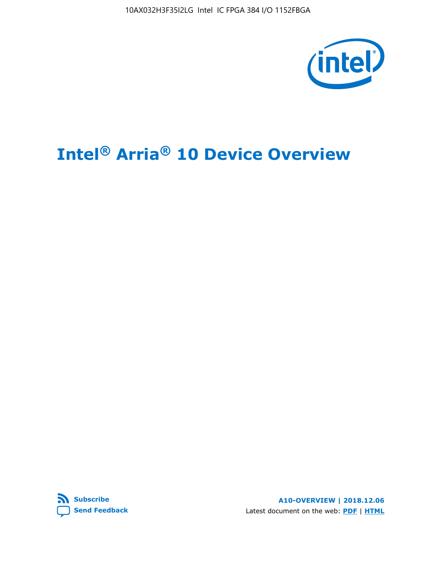

# **Intel® Arria® 10 Device Overview**



**A10-OVERVIEW | 2018.12.06** Latest document on the web: **[PDF](https://www.intel.com/content/dam/www/programmable/us/en/pdfs/literature/hb/arria-10/a10_overview.pdf)** | **[HTML](https://www.intel.com/content/www/us/en/programmable/documentation/sam1403480274650.html)**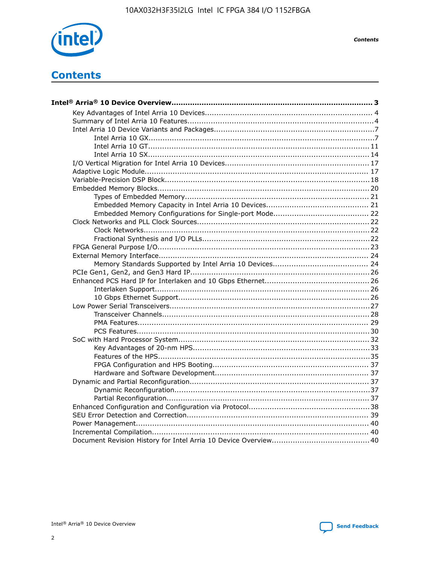

**Contents** 

# **Contents**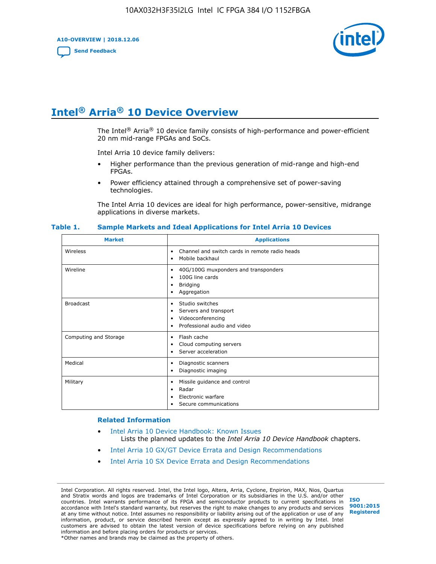**A10-OVERVIEW | 2018.12.06**

**[Send Feedback](mailto:FPGAtechdocfeedback@intel.com?subject=Feedback%20on%20Intel%20Arria%2010%20Device%20Overview%20(A10-OVERVIEW%202018.12.06)&body=We%20appreciate%20your%20feedback.%20In%20your%20comments,%20also%20specify%20the%20page%20number%20or%20paragraph.%20Thank%20you.)**



# **Intel® Arria® 10 Device Overview**

The Intel<sup>®</sup> Arria<sup>®</sup> 10 device family consists of high-performance and power-efficient 20 nm mid-range FPGAs and SoCs.

Intel Arria 10 device family delivers:

- Higher performance than the previous generation of mid-range and high-end FPGAs.
- Power efficiency attained through a comprehensive set of power-saving technologies.

The Intel Arria 10 devices are ideal for high performance, power-sensitive, midrange applications in diverse markets.

| <b>Market</b>         | <b>Applications</b>                                                                                               |
|-----------------------|-------------------------------------------------------------------------------------------------------------------|
| Wireless              | Channel and switch cards in remote radio heads<br>٠<br>Mobile backhaul<br>٠                                       |
| Wireline              | 40G/100G muxponders and transponders<br>٠<br>100G line cards<br>٠<br>Bridging<br>٠<br>Aggregation<br>٠            |
| <b>Broadcast</b>      | Studio switches<br>٠<br>Servers and transport<br>٠<br>Videoconferencing<br>٠<br>Professional audio and video<br>٠ |
| Computing and Storage | Flash cache<br>٠<br>Cloud computing servers<br>٠<br>Server acceleration<br>٠                                      |
| Medical               | Diagnostic scanners<br>٠<br>Diagnostic imaging<br>٠                                                               |
| Military              | Missile guidance and control<br>٠<br>Radar<br>٠<br>Electronic warfare<br>٠<br>Secure communications<br>٠          |

#### **Table 1. Sample Markets and Ideal Applications for Intel Arria 10 Devices**

#### **Related Information**

- [Intel Arria 10 Device Handbook: Known Issues](http://www.altera.com/support/kdb/solutions/rd07302013_646.html) Lists the planned updates to the *Intel Arria 10 Device Handbook* chapters.
- [Intel Arria 10 GX/GT Device Errata and Design Recommendations](https://www.intel.com/content/www/us/en/programmable/documentation/agz1493851706374.html#yqz1494433888646)
- [Intel Arria 10 SX Device Errata and Design Recommendations](https://www.intel.com/content/www/us/en/programmable/documentation/cru1462832385668.html#cru1462832558642)

Intel Corporation. All rights reserved. Intel, the Intel logo, Altera, Arria, Cyclone, Enpirion, MAX, Nios, Quartus and Stratix words and logos are trademarks of Intel Corporation or its subsidiaries in the U.S. and/or other countries. Intel warrants performance of its FPGA and semiconductor products to current specifications in accordance with Intel's standard warranty, but reserves the right to make changes to any products and services at any time without notice. Intel assumes no responsibility or liability arising out of the application or use of any information, product, or service described herein except as expressly agreed to in writing by Intel. Intel customers are advised to obtain the latest version of device specifications before relying on any published information and before placing orders for products or services. \*Other names and brands may be claimed as the property of others.

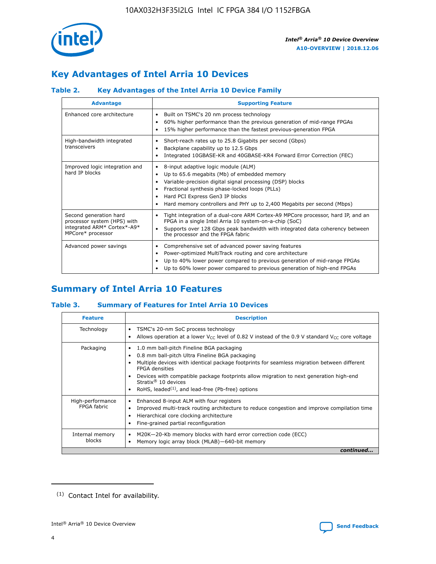

# **Key Advantages of Intel Arria 10 Devices**

# **Table 2. Key Advantages of the Intel Arria 10 Device Family**

| <b>Advantage</b>                                                                                          | <b>Supporting Feature</b>                                                                                                                                                                                                                                                                                                     |
|-----------------------------------------------------------------------------------------------------------|-------------------------------------------------------------------------------------------------------------------------------------------------------------------------------------------------------------------------------------------------------------------------------------------------------------------------------|
| Enhanced core architecture                                                                                | Built on TSMC's 20 nm process technology<br>٠<br>60% higher performance than the previous generation of mid-range FPGAs<br>٠<br>15% higher performance than the fastest previous-generation FPGA<br>٠                                                                                                                         |
| High-bandwidth integrated<br>transceivers                                                                 | Short-reach rates up to 25.8 Gigabits per second (Gbps)<br>٠<br>Backplane capability up to 12.5 Gbps<br>٠<br>Integrated 10GBASE-KR and 40GBASE-KR4 Forward Error Correction (FEC)<br>٠                                                                                                                                        |
| Improved logic integration and<br>hard IP blocks                                                          | 8-input adaptive logic module (ALM)<br>٠<br>Up to 65.6 megabits (Mb) of embedded memory<br>٠<br>Variable-precision digital signal processing (DSP) blocks<br>Fractional synthesis phase-locked loops (PLLs)<br>٠<br>Hard PCI Express Gen3 IP blocks<br>Hard memory controllers and PHY up to 2,400 Megabits per second (Mbps) |
| Second generation hard<br>processor system (HPS) with<br>integrated ARM* Cortex*-A9*<br>MPCore* processor | Tight integration of a dual-core ARM Cortex-A9 MPCore processor, hard IP, and an<br>٠<br>FPGA in a single Intel Arria 10 system-on-a-chip (SoC)<br>Supports over 128 Gbps peak bandwidth with integrated data coherency between<br>$\bullet$<br>the processor and the FPGA fabric                                             |
| Advanced power savings                                                                                    | Comprehensive set of advanced power saving features<br>٠<br>Power-optimized MultiTrack routing and core architecture<br>٠<br>Up to 40% lower power compared to previous generation of mid-range FPGAs<br>٠<br>Up to 60% lower power compared to previous generation of high-end FPGAs                                         |

# **Summary of Intel Arria 10 Features**

## **Table 3. Summary of Features for Intel Arria 10 Devices**

| <b>Feature</b>                  | <b>Description</b>                                                                                                                                                                                                                                                                                                                                                                                 |
|---------------------------------|----------------------------------------------------------------------------------------------------------------------------------------------------------------------------------------------------------------------------------------------------------------------------------------------------------------------------------------------------------------------------------------------------|
| Technology                      | TSMC's 20-nm SoC process technology<br>Allows operation at a lower $V_{CC}$ level of 0.82 V instead of the 0.9 V standard $V_{CC}$ core voltage                                                                                                                                                                                                                                                    |
| Packaging                       | 1.0 mm ball-pitch Fineline BGA packaging<br>٠<br>0.8 mm ball-pitch Ultra Fineline BGA packaging<br>Multiple devices with identical package footprints for seamless migration between different<br><b>FPGA</b> densities<br>Devices with compatible package footprints allow migration to next generation high-end<br>Stratix $@10$ devices<br>RoHS, leaded $(1)$ , and lead-free (Pb-free) options |
| High-performance<br>FPGA fabric | Enhanced 8-input ALM with four registers<br>Improved multi-track routing architecture to reduce congestion and improve compilation time<br>Hierarchical core clocking architecture<br>Fine-grained partial reconfiguration                                                                                                                                                                         |
| Internal memory<br>blocks       | M20K-20-Kb memory blocks with hard error correction code (ECC)<br>٠<br>Memory logic array block (MLAB)-640-bit memory                                                                                                                                                                                                                                                                              |
|                                 | continued                                                                                                                                                                                                                                                                                                                                                                                          |



<sup>(1)</sup> Contact Intel for availability.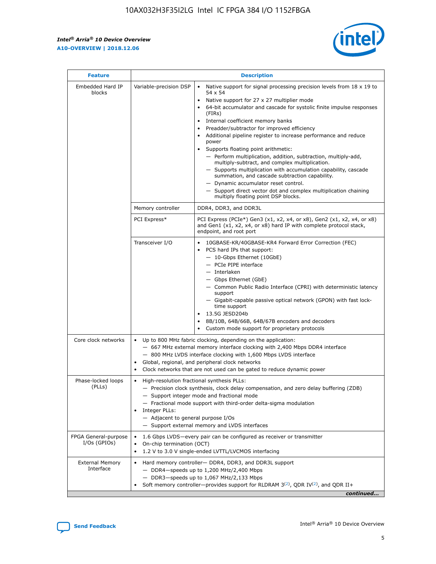$\mathsf{r}$ 



| <b>Feature</b>                         |                                                                                                                | <b>Description</b>                                                                                                                                                                                                                                                                                                                                                                                                                                                                                                                                                                                                                                                                                                                                                                                                                          |
|----------------------------------------|----------------------------------------------------------------------------------------------------------------|---------------------------------------------------------------------------------------------------------------------------------------------------------------------------------------------------------------------------------------------------------------------------------------------------------------------------------------------------------------------------------------------------------------------------------------------------------------------------------------------------------------------------------------------------------------------------------------------------------------------------------------------------------------------------------------------------------------------------------------------------------------------------------------------------------------------------------------------|
| Embedded Hard IP<br>blocks             | Variable-precision DSP                                                                                         | Native support for signal processing precision levels from $18 \times 19$ to<br>$\bullet$<br>54 x 54<br>Native support for 27 x 27 multiplier mode<br>64-bit accumulator and cascade for systolic finite impulse responses<br>(FIRS)<br>Internal coefficient memory banks<br>٠<br>Preadder/subtractor for improved efficiency<br>Additional pipeline register to increase performance and reduce<br>power<br>Supports floating point arithmetic:<br>- Perform multiplication, addition, subtraction, multiply-add,<br>multiply-subtract, and complex multiplication.<br>- Supports multiplication with accumulation capability, cascade<br>summation, and cascade subtraction capability.<br>- Dynamic accumulator reset control.<br>- Support direct vector dot and complex multiplication chaining<br>multiply floating point DSP blocks. |
|                                        | Memory controller                                                                                              | DDR4, DDR3, and DDR3L                                                                                                                                                                                                                                                                                                                                                                                                                                                                                                                                                                                                                                                                                                                                                                                                                       |
|                                        | PCI Express*                                                                                                   | PCI Express (PCIe*) Gen3 (x1, x2, x4, or x8), Gen2 (x1, x2, x4, or x8)<br>and Gen1 (x1, x2, x4, or x8) hard IP with complete protocol stack,<br>endpoint, and root port                                                                                                                                                                                                                                                                                                                                                                                                                                                                                                                                                                                                                                                                     |
|                                        | Transceiver I/O                                                                                                | 10GBASE-KR/40GBASE-KR4 Forward Error Correction (FEC)<br>PCS hard IPs that support:<br>- 10-Gbps Ethernet (10GbE)<br>- PCIe PIPE interface<br>- Interlaken<br>- Gbps Ethernet (GbE)<br>- Common Public Radio Interface (CPRI) with deterministic latency<br>support<br>- Gigabit-capable passive optical network (GPON) with fast lock-<br>time support<br>13.5G JESD204b<br>8B/10B, 64B/66B, 64B/67B encoders and decoders<br>Custom mode support for proprietary protocols                                                                                                                                                                                                                                                                                                                                                                |
| Core clock networks                    | $\bullet$                                                                                                      | Up to 800 MHz fabric clocking, depending on the application:<br>- 667 MHz external memory interface clocking with 2,400 Mbps DDR4 interface<br>- 800 MHz LVDS interface clocking with 1,600 Mbps LVDS interface<br>Global, regional, and peripheral clock networks<br>Clock networks that are not used can be gated to reduce dynamic power                                                                                                                                                                                                                                                                                                                                                                                                                                                                                                 |
| Phase-locked loops<br>(PLLs)           | High-resolution fractional synthesis PLLs:<br>$\bullet$<br>Integer PLLs:<br>- Adjacent to general purpose I/Os | - Precision clock synthesis, clock delay compensation, and zero delay buffering (ZDB)<br>- Support integer mode and fractional mode<br>- Fractional mode support with third-order delta-sigma modulation<br>- Support external memory and LVDS interfaces                                                                                                                                                                                                                                                                                                                                                                                                                                                                                                                                                                                   |
| FPGA General-purpose<br>$I/Os$ (GPIOs) | On-chip termination (OCT)<br>$\bullet$                                                                         | 1.6 Gbps LVDS-every pair can be configured as receiver or transmitter<br>1.2 V to 3.0 V single-ended LVTTL/LVCMOS interfacing                                                                                                                                                                                                                                                                                                                                                                                                                                                                                                                                                                                                                                                                                                               |
| <b>External Memory</b><br>Interface    |                                                                                                                | Hard memory controller- DDR4, DDR3, and DDR3L support<br>$-$ DDR4 $-$ speeds up to 1,200 MHz/2,400 Mbps<br>- DDR3-speeds up to 1,067 MHz/2,133 Mbps<br>Soft memory controller—provides support for RLDRAM $3^{(2)}$ , QDR IV $(2)$ , and QDR II+<br>continued                                                                                                                                                                                                                                                                                                                                                                                                                                                                                                                                                                               |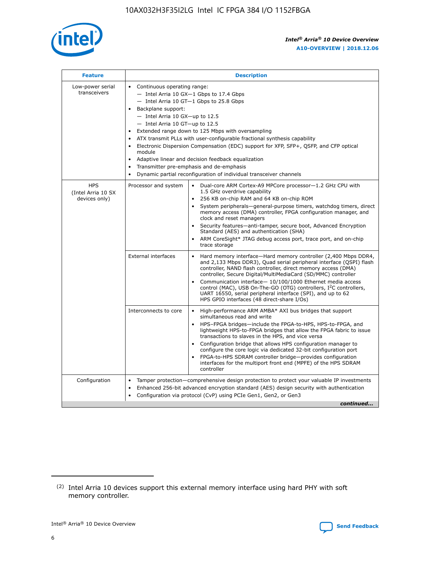

| <b>Feature</b>                                    | <b>Description</b>                                                                                                                                                                                                                                                                                                                                                                                                                                                                                                                                                                                                                                                 |
|---------------------------------------------------|--------------------------------------------------------------------------------------------------------------------------------------------------------------------------------------------------------------------------------------------------------------------------------------------------------------------------------------------------------------------------------------------------------------------------------------------------------------------------------------------------------------------------------------------------------------------------------------------------------------------------------------------------------------------|
| Low-power serial<br>transceivers                  | • Continuous operating range:<br>- Intel Arria 10 GX-1 Gbps to 17.4 Gbps<br>- Intel Arria 10 GT-1 Gbps to 25.8 Gbps<br>Backplane support:<br>$-$ Intel Arria 10 GX-up to 12.5<br>- Intel Arria 10 GT-up to 12.5<br>Extended range down to 125 Mbps with oversampling<br>ATX transmit PLLs with user-configurable fractional synthesis capability<br>$\bullet$<br>Electronic Dispersion Compensation (EDC) support for XFP, SFP+, OSFP, and CFP optical<br>module<br>Adaptive linear and decision feedback equalization<br>$\bullet$<br>Transmitter pre-emphasis and de-emphasis<br>$\bullet$<br>Dynamic partial reconfiguration of individual transceiver channels |
| <b>HPS</b><br>(Intel Arria 10 SX<br>devices only) | • Dual-core ARM Cortex-A9 MPCore processor-1.2 GHz CPU with<br>Processor and system<br>1.5 GHz overdrive capability<br>256 KB on-chip RAM and 64 KB on-chip ROM<br>$\bullet$<br>System peripherals—general-purpose timers, watchdog timers, direct<br>memory access (DMA) controller, FPGA configuration manager, and<br>clock and reset managers<br>Security features—anti-tamper, secure boot, Advanced Encryption<br>$\bullet$<br>Standard (AES) and authentication (SHA)<br>ARM CoreSight* JTAG debug access port, trace port, and on-chip<br>$\bullet$<br>trace storage                                                                                       |
|                                                   | <b>External interfaces</b><br>Hard memory interface-Hard memory controller (2,400 Mbps DDR4,<br>$\bullet$<br>and 2,133 Mbps DDR3), Quad serial peripheral interface (OSPI) flash<br>controller, NAND flash controller, direct memory access (DMA)<br>controller, Secure Digital/MultiMediaCard (SD/MMC) controller<br>Communication interface-10/100/1000 Ethernet media access<br>$\bullet$<br>control (MAC), USB On-The-GO (OTG) controllers, I <sup>2</sup> C controllers,<br>UART 16550, serial peripheral interface (SPI), and up to 62<br>HPS GPIO interfaces (48 direct-share I/Os)                                                                         |
|                                                   | Interconnects to core<br>High-performance ARM AMBA* AXI bus bridges that support<br>$\bullet$<br>simultaneous read and write<br>HPS-FPGA bridges-include the FPGA-to-HPS, HPS-to-FPGA, and<br>$\bullet$<br>lightweight HPS-to-FPGA bridges that allow the FPGA fabric to issue<br>transactions to slaves in the HPS, and vice versa<br>Configuration bridge that allows HPS configuration manager to<br>configure the core logic via dedicated 32-bit configuration port<br>FPGA-to-HPS SDRAM controller bridge-provides configuration<br>interfaces for the multiport front end (MPFE) of the HPS SDRAM<br>controller                                             |
| Configuration                                     | Tamper protection—comprehensive design protection to protect your valuable IP investments<br>Enhanced 256-bit advanced encryption standard (AES) design security with authentication<br>٠<br>Configuration via protocol (CvP) using PCIe Gen1, Gen2, or Gen3<br>continued                                                                                                                                                                                                                                                                                                                                                                                          |

<sup>(2)</sup> Intel Arria 10 devices support this external memory interface using hard PHY with soft memory controller.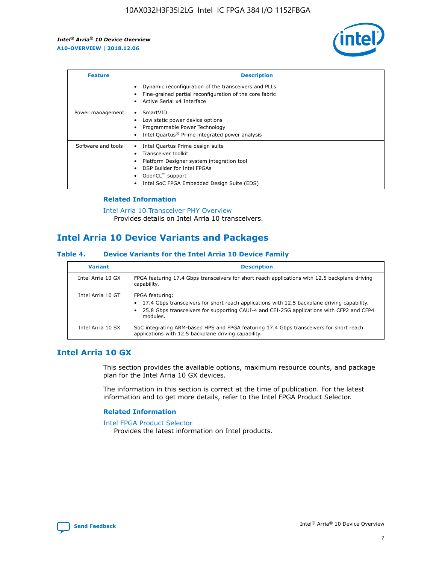

| <b>Feature</b>     | <b>Description</b>                                                                                                                                                                                               |
|--------------------|------------------------------------------------------------------------------------------------------------------------------------------------------------------------------------------------------------------|
|                    | Dynamic reconfiguration of the transceivers and PLLs<br>Fine-grained partial reconfiguration of the core fabric<br>Active Serial x4 Interface<br>$\bullet$                                                       |
| Power management   | SmartVID<br>Low static power device options<br>Programmable Power Technology<br>Intel Quartus <sup>®</sup> Prime integrated power analysis                                                                       |
| Software and tools | Intel Quartus Prime design suite<br>Transceiver toolkit<br>Platform Designer system integration tool<br>DSP Builder for Intel FPGAs<br>OpenCL <sup>™</sup> support<br>Intel SoC FPGA Embedded Design Suite (EDS) |

## **Related Information**

[Intel Arria 10 Transceiver PHY Overview](https://www.intel.com/content/www/us/en/programmable/documentation/nik1398707230472.html#nik1398706768037) Provides details on Intel Arria 10 transceivers.

# **Intel Arria 10 Device Variants and Packages**

#### **Table 4. Device Variants for the Intel Arria 10 Device Family**

| <b>Variant</b>    | <b>Description</b>                                                                                                                                                                                                     |
|-------------------|------------------------------------------------------------------------------------------------------------------------------------------------------------------------------------------------------------------------|
| Intel Arria 10 GX | FPGA featuring 17.4 Gbps transceivers for short reach applications with 12.5 backplane driving<br>capability.                                                                                                          |
| Intel Arria 10 GT | FPGA featuring:<br>17.4 Gbps transceivers for short reach applications with 12.5 backplane driving capability.<br>25.8 Gbps transceivers for supporting CAUI-4 and CEI-25G applications with CFP2 and CFP4<br>modules. |
| Intel Arria 10 SX | SoC integrating ARM-based HPS and FPGA featuring 17.4 Gbps transceivers for short reach<br>applications with 12.5 backplane driving capability.                                                                        |

# **Intel Arria 10 GX**

This section provides the available options, maximum resource counts, and package plan for the Intel Arria 10 GX devices.

The information in this section is correct at the time of publication. For the latest information and to get more details, refer to the Intel FPGA Product Selector.

#### **Related Information**

#### [Intel FPGA Product Selector](http://www.altera.com/products/selector/psg-selector.html) Provides the latest information on Intel products.

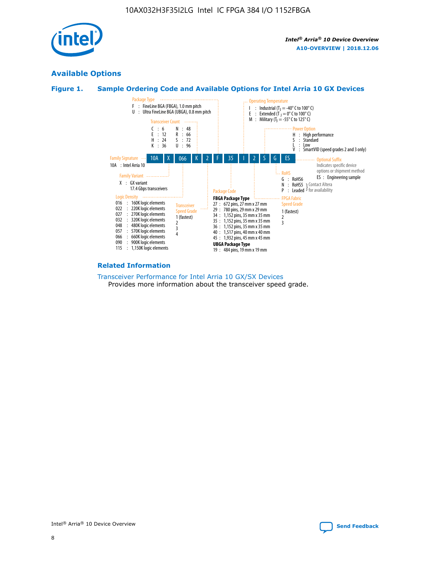

# **Available Options**





#### **Related Information**

[Transceiver Performance for Intel Arria 10 GX/SX Devices](https://www.intel.com/content/www/us/en/programmable/documentation/mcn1413182292568.html#mcn1413213965502) Provides more information about the transceiver speed grade.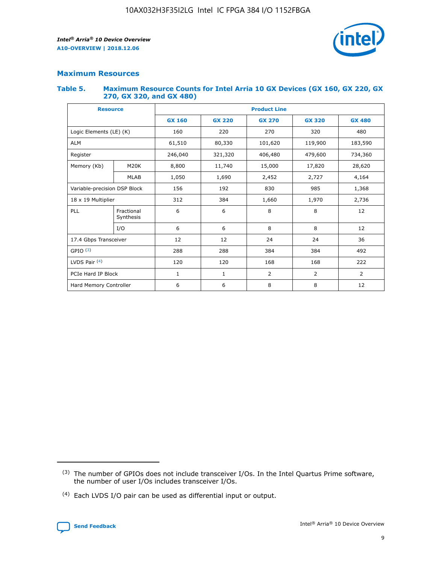

## **Maximum Resources**

#### **Table 5. Maximum Resource Counts for Intel Arria 10 GX Devices (GX 160, GX 220, GX 270, GX 320, and GX 480)**

| <b>Resource</b>         |                                                          | <b>Product Line</b> |                                                 |         |                |                |  |  |  |
|-------------------------|----------------------------------------------------------|---------------------|-------------------------------------------------|---------|----------------|----------------|--|--|--|
|                         |                                                          | <b>GX 160</b>       | <b>GX 220</b><br><b>GX 270</b><br><b>GX 320</b> |         |                | <b>GX 480</b>  |  |  |  |
| Logic Elements (LE) (K) |                                                          | 160                 | 220                                             | 270     | 320            | 480            |  |  |  |
| <b>ALM</b>              |                                                          | 61,510              | 80,330                                          | 101,620 | 119,900        | 183,590        |  |  |  |
| Register                |                                                          | 246,040             | 321,320                                         | 406,480 | 479,600        | 734,360        |  |  |  |
| Memory (Kb)             | M <sub>20</sub> K                                        | 8,800               | 11,740                                          | 15,000  | 17,820         |                |  |  |  |
|                         | <b>MLAB</b>                                              | 1,050               | 1,690                                           | 2,452   | 2,727          | 4,164          |  |  |  |
|                         | Variable-precision DSP Block<br>156<br>192<br>830<br>985 |                     |                                                 |         | 1,368          |                |  |  |  |
| 18 x 19 Multiplier      |                                                          | 312                 | 384                                             | 1,660   | 1,970          | 2,736          |  |  |  |
| PLL                     | Fractional<br>Synthesis                                  | 6                   | 6                                               | 8       | 8              | 12             |  |  |  |
|                         | I/O                                                      | 6                   | 6                                               | 8       | 8              | 12             |  |  |  |
| 17.4 Gbps Transceiver   |                                                          | 12                  | 12                                              | 24      | 24             | 36             |  |  |  |
| GPIO <sup>(3)</sup>     |                                                          | 288                 | 288                                             | 384     | 384            | 492            |  |  |  |
| LVDS Pair $(4)$         |                                                          | 120                 | 120                                             | 168     | 168            | 222            |  |  |  |
| PCIe Hard IP Block      |                                                          | 1                   | 1                                               | 2       | $\overline{2}$ | $\overline{2}$ |  |  |  |
| Hard Memory Controller  |                                                          | 6                   | 6                                               | 8       | 8              | 12             |  |  |  |

<sup>(4)</sup> Each LVDS I/O pair can be used as differential input or output.



<sup>(3)</sup> The number of GPIOs does not include transceiver I/Os. In the Intel Quartus Prime software, the number of user I/Os includes transceiver I/Os.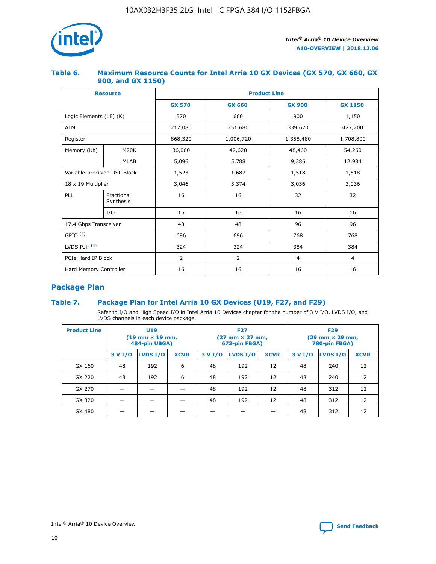

## **Table 6. Maximum Resource Counts for Intel Arria 10 GX Devices (GX 570, GX 660, GX 900, and GX 1150)**

|                              | <b>Resource</b>         | <b>Product Line</b> |                |                |                |  |  |  |
|------------------------------|-------------------------|---------------------|----------------|----------------|----------------|--|--|--|
|                              |                         | <b>GX 570</b>       | <b>GX 660</b>  | <b>GX 900</b>  | <b>GX 1150</b> |  |  |  |
| Logic Elements (LE) (K)      |                         | 570                 | 660            | 900            | 1,150          |  |  |  |
| <b>ALM</b>                   |                         | 217,080             | 251,680        | 339,620        | 427,200        |  |  |  |
| Register                     |                         | 868,320             | 1,006,720      | 1,358,480      | 1,708,800      |  |  |  |
| Memory (Kb)                  | <b>M20K</b>             | 36,000              | 42,620         | 48,460         | 54,260         |  |  |  |
|                              | <b>MLAB</b>             | 5,096               | 5,788          | 9,386          | 12,984         |  |  |  |
| Variable-precision DSP Block |                         | 1,523               | 1,687          | 1,518          | 1,518          |  |  |  |
|                              | 18 x 19 Multiplier      |                     | 3,374          | 3,036          | 3,036          |  |  |  |
| PLL                          | Fractional<br>Synthesis | 16                  | 16             | 32             | 32             |  |  |  |
|                              | I/O                     | 16                  | 16             | 16             | 16             |  |  |  |
| 17.4 Gbps Transceiver        |                         | 48                  | 48             | 96             | 96             |  |  |  |
| GPIO <sup>(3)</sup>          |                         | 696                 | 696            | 768            | 768            |  |  |  |
| LVDS Pair $(4)$              |                         | 324                 | 324            | 384            | 384            |  |  |  |
| PCIe Hard IP Block           |                         | 2                   | $\overline{2}$ | $\overline{4}$ | $\overline{4}$ |  |  |  |
| Hard Memory Controller       |                         | 16                  | 16             | 16             | 16             |  |  |  |

# **Package Plan**

# **Table 7. Package Plan for Intel Arria 10 GX Devices (U19, F27, and F29)**

Refer to I/O and High Speed I/O in Intel Arria 10 Devices chapter for the number of 3 V I/O, LVDS I/O, and LVDS channels in each device package.

| <b>Product Line</b> | U <sub>19</sub><br>$(19 \text{ mm} \times 19 \text{ mm})$<br>484-pin UBGA) |          |             |         | <b>F27</b><br>(27 mm × 27 mm,<br>672-pin FBGA) |             | <b>F29</b><br>(29 mm × 29 mm,<br>780-pin FBGA) |          |             |  |
|---------------------|----------------------------------------------------------------------------|----------|-------------|---------|------------------------------------------------|-------------|------------------------------------------------|----------|-------------|--|
|                     | 3 V I/O                                                                    | LVDS I/O | <b>XCVR</b> | 3 V I/O | <b>LVDS I/O</b>                                | <b>XCVR</b> | 3 V I/O                                        | LVDS I/O | <b>XCVR</b> |  |
| GX 160              | 48                                                                         | 192      | 6           | 48      | 192                                            | 12          | 48                                             | 240      | 12          |  |
| GX 220              | 48                                                                         | 192      | 6           | 48      | 192                                            | 12          | 48                                             | 240      | 12          |  |
| GX 270              |                                                                            |          |             | 48      | 192                                            | 12          | 48                                             | 312      | 12          |  |
| GX 320              |                                                                            |          |             | 48      | 192                                            | 12          | 48                                             | 312      | 12          |  |
| GX 480              |                                                                            |          |             |         |                                                |             | 48                                             | 312      | 12          |  |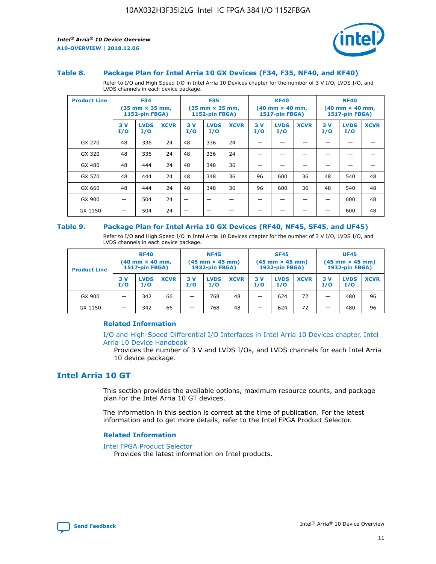



#### **Table 8. Package Plan for Intel Arria 10 GX Devices (F34, F35, NF40, and KF40)**

Refer to I/O and High Speed I/O in Intel Arria 10 Devices chapter for the number of 3 V I/O, LVDS I/O, and LVDS channels in each device package.

| <b>Product Line</b> | <b>F34</b><br>$(35 \text{ mm} \times 35 \text{ mm})$<br>1152-pin FBGA) |                    | <b>F35</b><br>$(35 \text{ mm} \times 35 \text{ mm})$<br><b>1152-pin FBGA)</b> |           | <b>KF40</b><br>$(40$ mm $\times$ 40 mm,<br>1517-pin FBGA) |             |           | <b>NF40</b><br>$(40$ mm $\times$ 40 mm,<br><b>1517-pin FBGA)</b> |             |            |                    |             |
|---------------------|------------------------------------------------------------------------|--------------------|-------------------------------------------------------------------------------|-----------|-----------------------------------------------------------|-------------|-----------|------------------------------------------------------------------|-------------|------------|--------------------|-------------|
|                     | 3V<br>I/O                                                              | <b>LVDS</b><br>I/O | <b>XCVR</b>                                                                   | 3V<br>I/O | <b>LVDS</b><br>I/O                                        | <b>XCVR</b> | 3V<br>I/O | <b>LVDS</b><br>I/O                                               | <b>XCVR</b> | 3 V<br>I/O | <b>LVDS</b><br>I/O | <b>XCVR</b> |
| GX 270              | 48                                                                     | 336                | 24                                                                            | 48        | 336                                                       | 24          |           |                                                                  |             |            |                    |             |
| GX 320              | 48                                                                     | 336                | 24                                                                            | 48        | 336                                                       | 24          |           |                                                                  |             |            |                    |             |
| GX 480              | 48                                                                     | 444                | 24                                                                            | 48        | 348                                                       | 36          |           |                                                                  |             |            |                    |             |
| GX 570              | 48                                                                     | 444                | 24                                                                            | 48        | 348                                                       | 36          | 96        | 600                                                              | 36          | 48         | 540                | 48          |
| GX 660              | 48                                                                     | 444                | 24                                                                            | 48        | 348                                                       | 36          | 96        | 600                                                              | 36          | 48         | 540                | 48          |
| GX 900              |                                                                        | 504                | 24                                                                            | -         |                                                           |             |           |                                                                  |             |            | 600                | 48          |
| GX 1150             |                                                                        | 504                | 24                                                                            |           |                                                           |             |           |                                                                  |             |            | 600                | 48          |

#### **Table 9. Package Plan for Intel Arria 10 GX Devices (RF40, NF45, SF45, and UF45)**

Refer to I/O and High Speed I/O in Intel Arria 10 Devices chapter for the number of 3 V I/O, LVDS I/O, and LVDS channels in each device package.

| <b>Product Line</b> | <b>RF40</b><br>$(40$ mm $\times$ 40 mm,<br>1517-pin FBGA) |                    |             | <b>NF45</b><br>$(45 \text{ mm} \times 45 \text{ mm})$<br><b>1932-pin FBGA)</b> |                    |             | <b>SF45</b><br>$(45 \text{ mm} \times 45 \text{ mm})$<br><b>1932-pin FBGA)</b> |                    |             | <b>UF45</b><br>$(45 \text{ mm} \times 45 \text{ mm})$<br><b>1932-pin FBGA)</b> |                    |             |
|---------------------|-----------------------------------------------------------|--------------------|-------------|--------------------------------------------------------------------------------|--------------------|-------------|--------------------------------------------------------------------------------|--------------------|-------------|--------------------------------------------------------------------------------|--------------------|-------------|
|                     | 3V<br>I/O                                                 | <b>LVDS</b><br>I/O | <b>XCVR</b> | 3 V<br>I/O                                                                     | <b>LVDS</b><br>I/O | <b>XCVR</b> | 3 V<br>I/O                                                                     | <b>LVDS</b><br>I/O | <b>XCVR</b> | 3V<br>I/O                                                                      | <b>LVDS</b><br>I/O | <b>XCVR</b> |
| GX 900              |                                                           | 342                | 66          | _                                                                              | 768                | 48          |                                                                                | 624                | 72          |                                                                                | 480                | 96          |
| GX 1150             |                                                           | 342                | 66          | _                                                                              | 768                | 48          |                                                                                | 624                | 72          |                                                                                | 480                | 96          |

## **Related Information**

[I/O and High-Speed Differential I/O Interfaces in Intel Arria 10 Devices chapter, Intel](https://www.intel.com/content/www/us/en/programmable/documentation/sam1403482614086.html#sam1403482030321) [Arria 10 Device Handbook](https://www.intel.com/content/www/us/en/programmable/documentation/sam1403482614086.html#sam1403482030321)

Provides the number of 3 V and LVDS I/Os, and LVDS channels for each Intel Arria 10 device package.

# **Intel Arria 10 GT**

This section provides the available options, maximum resource counts, and package plan for the Intel Arria 10 GT devices.

The information in this section is correct at the time of publication. For the latest information and to get more details, refer to the Intel FPGA Product Selector.

#### **Related Information**

#### [Intel FPGA Product Selector](http://www.altera.com/products/selector/psg-selector.html)

Provides the latest information on Intel products.

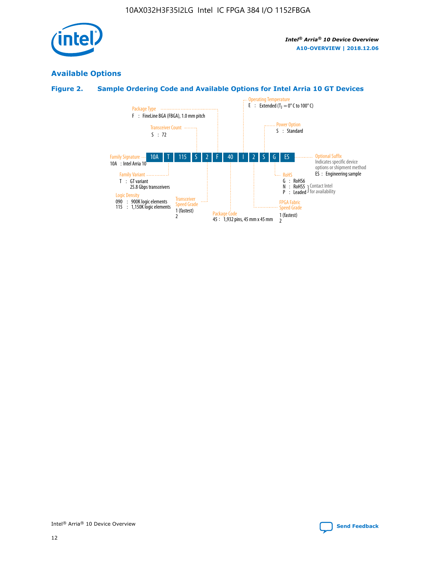

# **Available Options**

# **Figure 2. Sample Ordering Code and Available Options for Intel Arria 10 GT Devices**

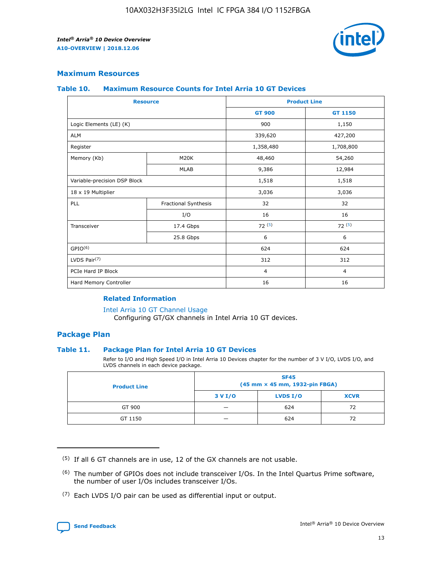

## **Maximum Resources**

#### **Table 10. Maximum Resource Counts for Intel Arria 10 GT Devices**

| <b>Resource</b>              |                      | <b>Product Line</b> |                |  |
|------------------------------|----------------------|---------------------|----------------|--|
|                              |                      | <b>GT 900</b>       | GT 1150        |  |
| Logic Elements (LE) (K)      |                      | 900                 | 1,150          |  |
| <b>ALM</b>                   |                      | 339,620             | 427,200        |  |
| Register                     |                      | 1,358,480           | 1,708,800      |  |
| Memory (Kb)                  | M <sub>20</sub> K    | 48,460              | 54,260         |  |
|                              | <b>MLAB</b>          | 9,386               | 12,984         |  |
| Variable-precision DSP Block |                      | 1,518               | 1,518          |  |
| 18 x 19 Multiplier           |                      | 3,036               | 3,036          |  |
| <b>PLL</b>                   | Fractional Synthesis | 32                  | 32             |  |
|                              | I/O                  | 16                  | 16             |  |
| Transceiver                  | 17.4 Gbps            | 72(5)               | 72(5)          |  |
|                              | 25.8 Gbps            | 6                   | 6              |  |
| GPIO <sup>(6)</sup>          |                      | 624                 | 624            |  |
| LVDS Pair $(7)$              |                      | 312                 | 312            |  |
| PCIe Hard IP Block           |                      | $\overline{4}$      | $\overline{4}$ |  |
| Hard Memory Controller       |                      | 16                  | 16             |  |

#### **Related Information**

#### [Intel Arria 10 GT Channel Usage](https://www.intel.com/content/www/us/en/programmable/documentation/nik1398707230472.html#nik1398707008178)

Configuring GT/GX channels in Intel Arria 10 GT devices.

## **Package Plan**

## **Table 11. Package Plan for Intel Arria 10 GT Devices**

Refer to I/O and High Speed I/O in Intel Arria 10 Devices chapter for the number of 3 V I/O, LVDS I/O, and LVDS channels in each device package.

| <b>Product Line</b> | <b>SF45</b><br>(45 mm × 45 mm, 1932-pin FBGA) |                 |             |  |  |  |
|---------------------|-----------------------------------------------|-----------------|-------------|--|--|--|
|                     | 3 V I/O                                       | <b>LVDS I/O</b> | <b>XCVR</b> |  |  |  |
| GT 900              |                                               | 624             | 72          |  |  |  |
| GT 1150             |                                               | 624             |             |  |  |  |

<sup>(7)</sup> Each LVDS I/O pair can be used as differential input or output.



 $(5)$  If all 6 GT channels are in use, 12 of the GX channels are not usable.

<sup>(6)</sup> The number of GPIOs does not include transceiver I/Os. In the Intel Quartus Prime software, the number of user I/Os includes transceiver I/Os.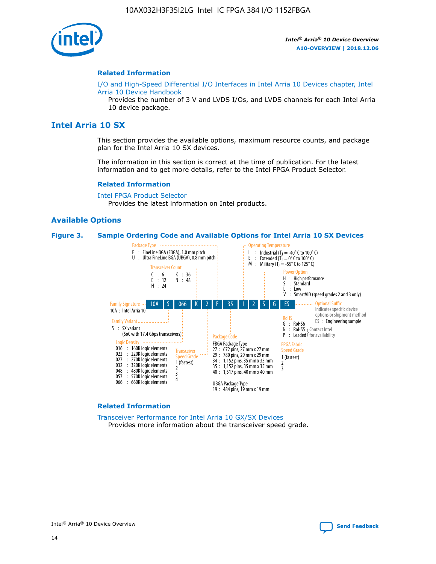

#### **Related Information**

[I/O and High-Speed Differential I/O Interfaces in Intel Arria 10 Devices chapter, Intel](https://www.intel.com/content/www/us/en/programmable/documentation/sam1403482614086.html#sam1403482030321) [Arria 10 Device Handbook](https://www.intel.com/content/www/us/en/programmable/documentation/sam1403482614086.html#sam1403482030321)

Provides the number of 3 V and LVDS I/Os, and LVDS channels for each Intel Arria 10 device package.

# **Intel Arria 10 SX**

This section provides the available options, maximum resource counts, and package plan for the Intel Arria 10 SX devices.

The information in this section is correct at the time of publication. For the latest information and to get more details, refer to the Intel FPGA Product Selector.

#### **Related Information**

[Intel FPGA Product Selector](http://www.altera.com/products/selector/psg-selector.html) Provides the latest information on Intel products.

#### **Available Options**

#### **Figure 3. Sample Ordering Code and Available Options for Intel Arria 10 SX Devices**



#### **Related Information**

[Transceiver Performance for Intel Arria 10 GX/SX Devices](https://www.intel.com/content/www/us/en/programmable/documentation/mcn1413182292568.html#mcn1413213965502) Provides more information about the transceiver speed grade.

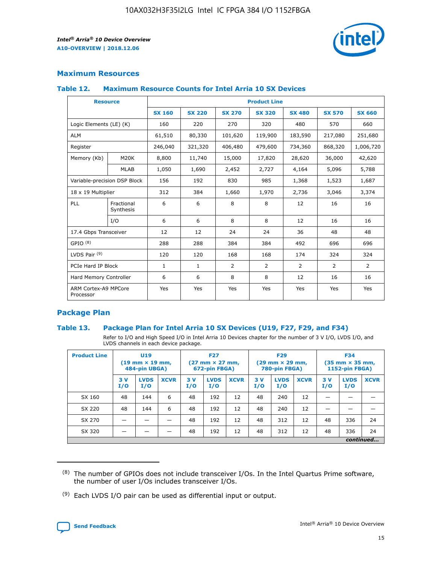

# **Maximum Resources**

## **Table 12. Maximum Resource Counts for Intel Arria 10 SX Devices**

| <b>Resource</b>                   |                         | <b>Product Line</b> |               |                |                |                |                |               |  |  |  |
|-----------------------------------|-------------------------|---------------------|---------------|----------------|----------------|----------------|----------------|---------------|--|--|--|
|                                   |                         | <b>SX 160</b>       | <b>SX 220</b> | <b>SX 270</b>  | <b>SX 320</b>  | <b>SX 480</b>  | <b>SX 570</b>  | <b>SX 660</b> |  |  |  |
| Logic Elements (LE) (K)           |                         | 160                 | 220           | 270            | 320            | 480            | 570            | 660           |  |  |  |
| <b>ALM</b>                        |                         | 61,510              | 80,330        | 101,620        | 119,900        | 183,590        | 217,080        | 251,680       |  |  |  |
| Register                          |                         | 246,040             | 321,320       | 406,480        | 479,600        | 734,360        | 868,320        | 1,006,720     |  |  |  |
| Memory (Kb)                       | M <sub>20</sub> K       | 8,800               | 11,740        | 15,000         | 17,820         | 28,620         | 36,000         | 42,620        |  |  |  |
|                                   | <b>MLAB</b>             | 1,050               | 1,690         | 2,452          | 2,727          | 4,164          | 5,096          | 5,788         |  |  |  |
| Variable-precision DSP Block      |                         | 156                 | 192           | 830            | 985            | 1,368          | 1,523          | 1,687         |  |  |  |
| 18 x 19 Multiplier                |                         | 312                 | 384           | 1,660          | 1,970          | 2,736          | 3,046          | 3,374         |  |  |  |
| <b>PLL</b>                        | Fractional<br>Synthesis | 6                   | 6             | 8              | 8              | 12             | 16             | 16            |  |  |  |
|                                   | I/O                     | 6                   | 6             | 8              | 8              | 12             | 16             | 16            |  |  |  |
| 17.4 Gbps Transceiver             |                         | 12                  | 12            | 24             | 24             | 36             | 48             | 48            |  |  |  |
| GPIO <sup>(8)</sup>               |                         | 288                 | 288           | 384            | 384            | 492            | 696            | 696           |  |  |  |
| LVDS Pair $(9)$                   |                         | 120                 | 120           | 168            | 168            | 174            | 324            | 324           |  |  |  |
| PCIe Hard IP Block                |                         | $\mathbf{1}$        | 1             | $\overline{2}$ | $\overline{2}$ | $\overline{2}$ | $\overline{2}$ | 2             |  |  |  |
| Hard Memory Controller            |                         | 6                   | 6             | 8              | 8              | 12             | 16             | 16            |  |  |  |
| ARM Cortex-A9 MPCore<br>Processor |                         | Yes                 | Yes           | Yes            | Yes            | Yes            | Yes            | Yes           |  |  |  |

# **Package Plan**

## **Table 13. Package Plan for Intel Arria 10 SX Devices (U19, F27, F29, and F34)**

Refer to I/O and High Speed I/O in Intel Arria 10 Devices chapter for the number of 3 V I/O, LVDS I/O, and LVDS channels in each device package.

| <b>Product Line</b> | <b>U19</b><br>$(19 \text{ mm} \times 19 \text{ mm})$<br>484-pin UBGA) |                    |             | <b>F27</b><br>$(27 \text{ mm} \times 27 \text{ mm})$<br>672-pin FBGA) |                    | <b>F29</b><br>$(29$ mm $\times$ 29 mm,<br>780-pin FBGA) |            |                    | <b>F34</b><br>$(35 \text{ mm} \times 35 \text{ mm})$<br>1152-pin FBGA) |           |                    |             |
|---------------------|-----------------------------------------------------------------------|--------------------|-------------|-----------------------------------------------------------------------|--------------------|---------------------------------------------------------|------------|--------------------|------------------------------------------------------------------------|-----------|--------------------|-------------|
|                     | 3V<br>I/O                                                             | <b>LVDS</b><br>I/O | <b>XCVR</b> | 3V<br>I/O                                                             | <b>LVDS</b><br>I/O | <b>XCVR</b>                                             | 3 V<br>I/O | <b>LVDS</b><br>I/O | <b>XCVR</b>                                                            | 3V<br>I/O | <b>LVDS</b><br>I/O | <b>XCVR</b> |
| SX 160              | 48                                                                    | 144                | 6           | 48                                                                    | 192                | 12                                                      | 48         | 240                | 12                                                                     | –         |                    |             |
| SX 220              | 48                                                                    | 144                | 6           | 48                                                                    | 192                | 12                                                      | 48         | 240                | 12                                                                     |           |                    |             |
| SX 270              |                                                                       |                    |             | 48                                                                    | 192                | 12                                                      | 48         | 312                | 12                                                                     | 48        | 336                | 24          |
| SX 320              |                                                                       |                    |             | 48                                                                    | 192                | 12                                                      | 48         | 312                | 12                                                                     | 48        | 336                | 24          |
|                     |                                                                       |                    |             |                                                                       |                    |                                                         |            |                    |                                                                        |           |                    | continued   |

 $(8)$  The number of GPIOs does not include transceiver I/Os. In the Intel Quartus Prime software, the number of user I/Os includes transceiver I/Os.

 $(9)$  Each LVDS I/O pair can be used as differential input or output.

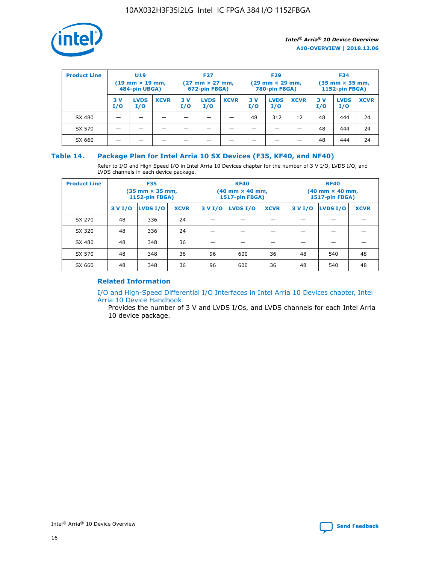

| <b>Product Line</b> | U <sub>19</sub><br>$(19 \text{ mm} \times 19 \text{ mm})$<br>484-pin UBGA) |                    | <b>F27</b><br>$(27 \text{ mm} \times 27 \text{ mm})$<br>672-pin FBGA) |           |                    | <b>F29</b><br>$(29 \text{ mm} \times 29 \text{ mm})$<br>780-pin FBGA) |           |                    | <b>F34</b><br>$(35$ mm $\times$ 35 mm,<br><b>1152-pin FBGA)</b> |           |                    |             |
|---------------------|----------------------------------------------------------------------------|--------------------|-----------------------------------------------------------------------|-----------|--------------------|-----------------------------------------------------------------------|-----------|--------------------|-----------------------------------------------------------------|-----------|--------------------|-------------|
|                     | 3V<br>I/O                                                                  | <b>LVDS</b><br>I/O | <b>XCVR</b>                                                           | 3V<br>I/O | <b>LVDS</b><br>I/O | <b>XCVR</b>                                                           | 3V<br>I/O | <b>LVDS</b><br>I/O | <b>XCVR</b>                                                     | 3V<br>I/O | <b>LVDS</b><br>I/O | <b>XCVR</b> |
| SX 480              |                                                                            |                    |                                                                       |           |                    |                                                                       | 48        | 312                | 12                                                              | 48        | 444                | 24          |
| SX 570              |                                                                            |                    |                                                                       |           |                    |                                                                       |           |                    |                                                                 | 48        | 444                | 24          |
| SX 660              |                                                                            |                    |                                                                       |           |                    |                                                                       |           |                    |                                                                 | 48        | 444                | 24          |

## **Table 14. Package Plan for Intel Arria 10 SX Devices (F35, KF40, and NF40)**

Refer to I/O and High Speed I/O in Intel Arria 10 Devices chapter for the number of 3 V I/O, LVDS I/O, and LVDS channels in each device package.

| <b>Product Line</b> | <b>F35</b><br>(35 mm × 35 mm,<br><b>1152-pin FBGA)</b> |          |             |                                           | <b>KF40</b><br>(40 mm × 40 mm,<br>1517-pin FBGA) |    | <b>NF40</b><br>$(40 \text{ mm} \times 40 \text{ mm})$<br>1517-pin FBGA) |          |             |  |
|---------------------|--------------------------------------------------------|----------|-------------|-------------------------------------------|--------------------------------------------------|----|-------------------------------------------------------------------------|----------|-------------|--|
|                     | 3 V I/O                                                | LVDS I/O | <b>XCVR</b> | <b>LVDS I/O</b><br>3 V I/O<br><b>XCVR</b> |                                                  |    | 3 V I/O                                                                 | LVDS I/O | <b>XCVR</b> |  |
| SX 270              | 48                                                     | 336      | 24          |                                           |                                                  |    |                                                                         |          |             |  |
| SX 320              | 48                                                     | 336      | 24          |                                           |                                                  |    |                                                                         |          |             |  |
| SX 480              | 48                                                     | 348      | 36          |                                           |                                                  |    |                                                                         |          |             |  |
| SX 570              | 48                                                     | 348      | 36          | 96                                        | 600                                              | 36 | 48                                                                      | 540      | 48          |  |
| SX 660              | 48                                                     | 348      | 36          | 96                                        | 600                                              | 36 | 48                                                                      | 540      | 48          |  |

# **Related Information**

[I/O and High-Speed Differential I/O Interfaces in Intel Arria 10 Devices chapter, Intel](https://www.intel.com/content/www/us/en/programmable/documentation/sam1403482614086.html#sam1403482030321) [Arria 10 Device Handbook](https://www.intel.com/content/www/us/en/programmable/documentation/sam1403482614086.html#sam1403482030321)

Provides the number of 3 V and LVDS I/Os, and LVDS channels for each Intel Arria 10 device package.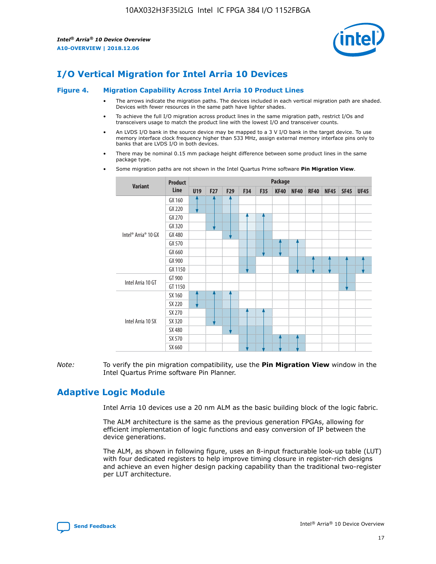

# **I/O Vertical Migration for Intel Arria 10 Devices**

#### **Figure 4. Migration Capability Across Intel Arria 10 Product Lines**

- The arrows indicate the migration paths. The devices included in each vertical migration path are shaded. Devices with fewer resources in the same path have lighter shades.
- To achieve the full I/O migration across product lines in the same migration path, restrict I/Os and transceivers usage to match the product line with the lowest I/O and transceiver counts.
- An LVDS I/O bank in the source device may be mapped to a 3 V I/O bank in the target device. To use memory interface clock frequency higher than 533 MHz, assign external memory interface pins only to banks that are LVDS I/O in both devices.
- There may be nominal 0.15 mm package height difference between some product lines in the same package type.
	- **Variant Product Line Package U19 F27 F29 F34 F35 KF40 NF40 RF40 NF45 SF45 UF45** Intel® Arria® 10 GX GX 160 GX 220 GX 270 GX 320 GX 480 GX 570 GX 660 GX 900 GX 1150 Intel Arria 10 GT GT 900 GT 1150 Intel Arria 10 SX SX 160 SX 220 SX 270 SX 320 SX 480 SX 570 SX 660
- Some migration paths are not shown in the Intel Quartus Prime software **Pin Migration View**.

*Note:* To verify the pin migration compatibility, use the **Pin Migration View** window in the Intel Quartus Prime software Pin Planner.

# **Adaptive Logic Module**

Intel Arria 10 devices use a 20 nm ALM as the basic building block of the logic fabric.

The ALM architecture is the same as the previous generation FPGAs, allowing for efficient implementation of logic functions and easy conversion of IP between the device generations.

The ALM, as shown in following figure, uses an 8-input fracturable look-up table (LUT) with four dedicated registers to help improve timing closure in register-rich designs and achieve an even higher design packing capability than the traditional two-register per LUT architecture.

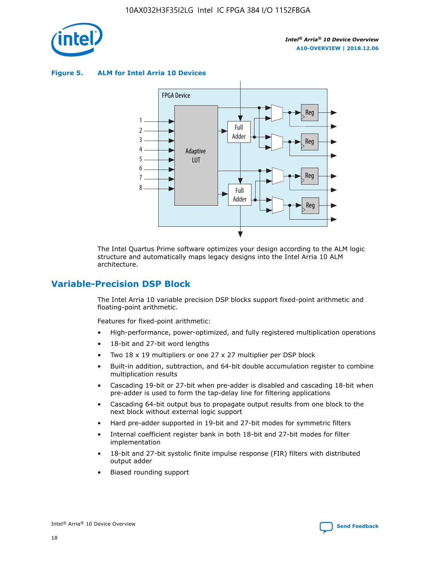

**Figure 5. ALM for Intel Arria 10 Devices**



The Intel Quartus Prime software optimizes your design according to the ALM logic structure and automatically maps legacy designs into the Intel Arria 10 ALM architecture.

# **Variable-Precision DSP Block**

The Intel Arria 10 variable precision DSP blocks support fixed-point arithmetic and floating-point arithmetic.

Features for fixed-point arithmetic:

- High-performance, power-optimized, and fully registered multiplication operations
- 18-bit and 27-bit word lengths
- Two 18 x 19 multipliers or one 27 x 27 multiplier per DSP block
- Built-in addition, subtraction, and 64-bit double accumulation register to combine multiplication results
- Cascading 19-bit or 27-bit when pre-adder is disabled and cascading 18-bit when pre-adder is used to form the tap-delay line for filtering applications
- Cascading 64-bit output bus to propagate output results from one block to the next block without external logic support
- Hard pre-adder supported in 19-bit and 27-bit modes for symmetric filters
- Internal coefficient register bank in both 18-bit and 27-bit modes for filter implementation
- 18-bit and 27-bit systolic finite impulse response (FIR) filters with distributed output adder
- Biased rounding support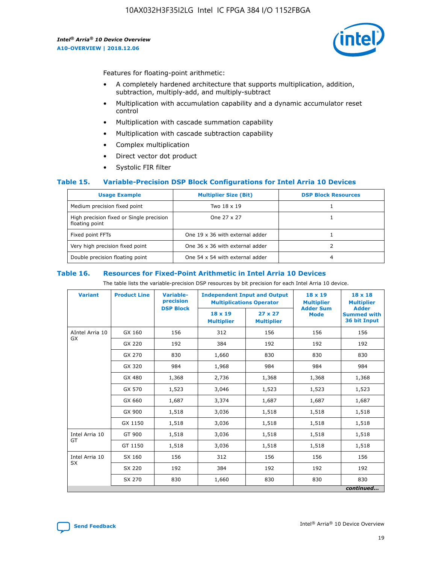

Features for floating-point arithmetic:

- A completely hardened architecture that supports multiplication, addition, subtraction, multiply-add, and multiply-subtract
- Multiplication with accumulation capability and a dynamic accumulator reset control
- Multiplication with cascade summation capability
- Multiplication with cascade subtraction capability
- Complex multiplication
- Direct vector dot product
- Systolic FIR filter

## **Table 15. Variable-Precision DSP Block Configurations for Intel Arria 10 Devices**

| <b>Usage Example</b>                                       | <b>Multiplier Size (Bit)</b>    | <b>DSP Block Resources</b> |
|------------------------------------------------------------|---------------------------------|----------------------------|
| Medium precision fixed point                               | Two 18 x 19                     |                            |
| High precision fixed or Single precision<br>floating point | One 27 x 27                     |                            |
| Fixed point FFTs                                           | One 19 x 36 with external adder |                            |
| Very high precision fixed point                            | One 36 x 36 with external adder |                            |
| Double precision floating point                            | One 54 x 54 with external adder | 4                          |

#### **Table 16. Resources for Fixed-Point Arithmetic in Intel Arria 10 Devices**

The table lists the variable-precision DSP resources by bit precision for each Intel Arria 10 device.

| <b>Variant</b>  | <b>Product Line</b> | Variable-<br>precision<br><b>DSP Block</b> | <b>Independent Input and Output</b><br><b>Multiplications Operator</b> |                                     | $18 \times 19$<br><b>Multiplier</b><br><b>Adder Sum</b> | $18 \times 18$<br><b>Multiplier</b><br><b>Adder</b> |
|-----------------|---------------------|--------------------------------------------|------------------------------------------------------------------------|-------------------------------------|---------------------------------------------------------|-----------------------------------------------------|
|                 |                     |                                            | 18 x 19<br><b>Multiplier</b>                                           | $27 \times 27$<br><b>Multiplier</b> | <b>Mode</b>                                             | <b>Summed with</b><br>36 bit Input                  |
| AIntel Arria 10 | GX 160              | 156                                        | 312                                                                    | 156                                 | 156                                                     | 156                                                 |
| GX              | GX 220              | 192                                        | 384                                                                    | 192                                 | 192                                                     | 192                                                 |
|                 | GX 270              | 830                                        | 1,660                                                                  | 830                                 | 830                                                     | 830                                                 |
|                 | GX 320              | 984                                        | 1,968                                                                  | 984                                 | 984                                                     | 984                                                 |
|                 | GX 480              | 1,368                                      | 2,736                                                                  | 1,368                               | 1,368                                                   | 1,368                                               |
|                 | GX 570              | 1,523                                      | 3,046                                                                  | 1,523                               | 1,523                                                   | 1,523                                               |
|                 | GX 660              | 1,687                                      | 3,374                                                                  | 1,687                               | 1,687                                                   | 1,687                                               |
|                 | GX 900              | 1,518                                      | 3,036                                                                  | 1,518                               | 1,518                                                   | 1,518                                               |
|                 | GX 1150             | 1,518                                      | 3,036                                                                  | 1,518                               | 1,518                                                   | 1,518                                               |
| Intel Arria 10  | GT 900              | 1,518                                      | 3,036                                                                  | 1,518                               | 1,518                                                   | 1,518                                               |
| GT              | GT 1150             | 1,518                                      | 3,036                                                                  | 1,518                               | 1,518                                                   | 1,518                                               |
| Intel Arria 10  | SX 160              | 156                                        | 312                                                                    | 156                                 | 156                                                     | 156                                                 |
| <b>SX</b>       | SX 220<br>192       |                                            | 384                                                                    | 192                                 | 192                                                     | 192                                                 |
|                 | SX 270              | 830                                        | 1,660                                                                  | 830                                 | 830                                                     | 830                                                 |
|                 |                     |                                            |                                                                        |                                     |                                                         | continued                                           |

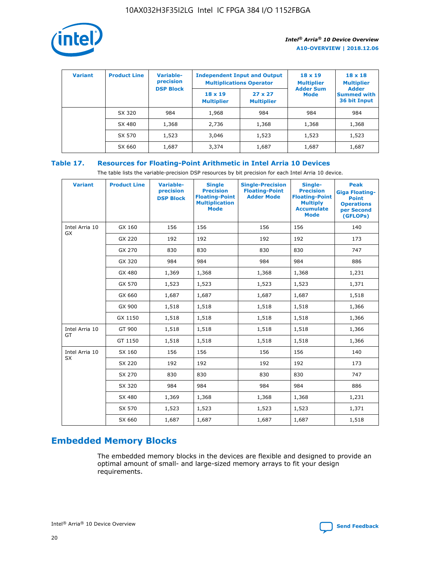

| <b>Variant</b> | <b>Product Line</b> | <b>Variable-</b><br>precision |                                     | <b>Independent Input and Output</b><br><b>Multiplications Operator</b> | $18 \times 19$<br><b>Multiplier</b> | $18 \times 18$<br><b>Multiplier</b><br><b>Adder</b> |  |
|----------------|---------------------|-------------------------------|-------------------------------------|------------------------------------------------------------------------|-------------------------------------|-----------------------------------------------------|--|
|                |                     | <b>DSP Block</b>              | $18 \times 19$<br><b>Multiplier</b> | $27 \times 27$<br><b>Multiplier</b>                                    | <b>Adder Sum</b><br><b>Mode</b>     | <b>Summed with</b><br>36 bit Input                  |  |
|                | SX 320              | 984                           | 1,968                               | 984                                                                    | 984                                 | 984                                                 |  |
|                | SX 480              | 1,368                         | 2,736                               | 1,368                                                                  | 1,368                               | 1,368                                               |  |
|                | SX 570              | 1,523                         | 3,046                               | 1,523                                                                  | 1,523                               | 1,523                                               |  |
|                | SX 660              | 1,687                         | 3,374                               | 1,687                                                                  | 1,687                               | 1,687                                               |  |

# **Table 17. Resources for Floating-Point Arithmetic in Intel Arria 10 Devices**

The table lists the variable-precision DSP resources by bit precision for each Intel Arria 10 device.

| <b>Variant</b>              | <b>Product Line</b> | <b>Variable-</b><br>precision<br><b>DSP Block</b> | <b>Single</b><br><b>Precision</b><br><b>Floating-Point</b><br><b>Multiplication</b><br><b>Mode</b> | <b>Single-Precision</b><br><b>Floating-Point</b><br><b>Adder Mode</b> | Single-<br><b>Precision</b><br><b>Floating-Point</b><br><b>Multiply</b><br><b>Accumulate</b><br><b>Mode</b> | <b>Peak</b><br><b>Giga Floating-</b><br><b>Point</b><br><b>Operations</b><br>per Second<br>(GFLOPs) |
|-----------------------------|---------------------|---------------------------------------------------|----------------------------------------------------------------------------------------------------|-----------------------------------------------------------------------|-------------------------------------------------------------------------------------------------------------|-----------------------------------------------------------------------------------------------------|
| Intel Arria 10<br>GX        | GX 160              | 156                                               | 156                                                                                                | 156                                                                   | 156                                                                                                         | 140                                                                                                 |
|                             | GX 220              | 192                                               | 192                                                                                                | 192                                                                   | 192                                                                                                         | 173                                                                                                 |
|                             | GX 270              | 830                                               | 830                                                                                                | 830                                                                   | 830                                                                                                         | 747                                                                                                 |
|                             | GX 320              | 984                                               | 984                                                                                                | 984                                                                   | 984                                                                                                         | 886                                                                                                 |
|                             | GX 480              | 1,369                                             | 1,368                                                                                              | 1,368                                                                 | 1,368                                                                                                       | 1,231                                                                                               |
|                             | GX 570              | 1,523                                             | 1,523                                                                                              | 1,523                                                                 | 1,523                                                                                                       | 1,371                                                                                               |
|                             | GX 660              | 1,687                                             | 1,687                                                                                              | 1,687                                                                 | 1,687                                                                                                       | 1,518                                                                                               |
|                             | GX 900              | 1,518                                             | 1,518                                                                                              | 1,518                                                                 | 1,518                                                                                                       | 1,366                                                                                               |
|                             | GX 1150             | 1,518                                             | 1,518                                                                                              | 1,518                                                                 | 1,518                                                                                                       | 1,366                                                                                               |
| Intel Arria 10              | GT 900              | 1,518                                             | 1,518                                                                                              | 1,518                                                                 | 1,518                                                                                                       | 1,366                                                                                               |
| GT                          | GT 1150             | 1,518                                             | 1,518                                                                                              | 1,518                                                                 | 1,518                                                                                                       | 1,366                                                                                               |
| Intel Arria 10<br><b>SX</b> | SX 160              | 156                                               | 156                                                                                                | 156                                                                   | 156                                                                                                         | 140                                                                                                 |
|                             | SX 220              | 192                                               | 192                                                                                                | 192                                                                   | 192                                                                                                         | 173                                                                                                 |
|                             | SX 270              | 830                                               | 830                                                                                                | 830                                                                   | 830                                                                                                         | 747                                                                                                 |
|                             | SX 320              | 984                                               | 984                                                                                                | 984                                                                   | 984                                                                                                         | 886                                                                                                 |
|                             | SX 480              | 1,369                                             | 1,368                                                                                              | 1,368                                                                 | 1,368                                                                                                       | 1,231                                                                                               |
|                             | SX 570              | 1,523                                             | 1,523                                                                                              | 1,523                                                                 | 1,523                                                                                                       | 1,371                                                                                               |
|                             | SX 660              | 1,687                                             | 1,687                                                                                              | 1,687                                                                 | 1,687                                                                                                       | 1,518                                                                                               |

# **Embedded Memory Blocks**

The embedded memory blocks in the devices are flexible and designed to provide an optimal amount of small- and large-sized memory arrays to fit your design requirements.

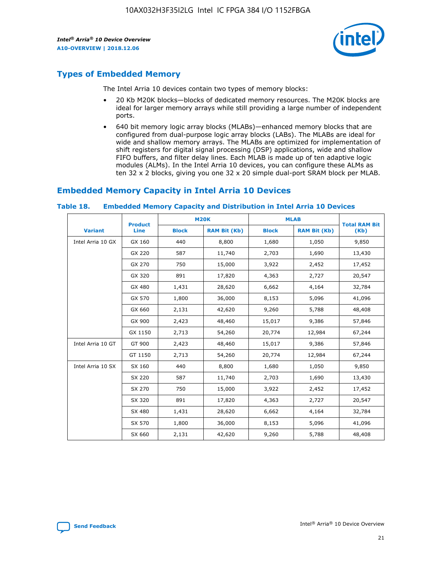

# **Types of Embedded Memory**

The Intel Arria 10 devices contain two types of memory blocks:

- 20 Kb M20K blocks—blocks of dedicated memory resources. The M20K blocks are ideal for larger memory arrays while still providing a large number of independent ports.
- 640 bit memory logic array blocks (MLABs)—enhanced memory blocks that are configured from dual-purpose logic array blocks (LABs). The MLABs are ideal for wide and shallow memory arrays. The MLABs are optimized for implementation of shift registers for digital signal processing (DSP) applications, wide and shallow FIFO buffers, and filter delay lines. Each MLAB is made up of ten adaptive logic modules (ALMs). In the Intel Arria 10 devices, you can configure these ALMs as ten 32 x 2 blocks, giving you one 32 x 20 simple dual-port SRAM block per MLAB.

# **Embedded Memory Capacity in Intel Arria 10 Devices**

|                   | <b>Product</b> |              | <b>M20K</b>         | <b>MLAB</b>  |                     | <b>Total RAM Bit</b> |
|-------------------|----------------|--------------|---------------------|--------------|---------------------|----------------------|
| <b>Variant</b>    | Line           | <b>Block</b> | <b>RAM Bit (Kb)</b> | <b>Block</b> | <b>RAM Bit (Kb)</b> | (Kb)                 |
| Intel Arria 10 GX | GX 160         | 440          | 8,800               | 1,680        | 1,050               | 9,850                |
|                   | GX 220         | 587          | 11,740              | 2,703        | 1,690               | 13,430               |
|                   | GX 270         | 750          | 15,000              | 3,922        | 2,452               | 17,452               |
|                   | GX 320         | 891          | 17,820              | 4,363        | 2,727               | 20,547               |
|                   | GX 480         | 1,431        | 28,620              | 6,662        | 4,164               | 32,784               |
|                   | GX 570         | 1,800        | 36,000              | 8,153        | 5,096               | 41,096               |
|                   | GX 660         | 2,131        | 42,620              | 9,260        | 5,788               | 48,408               |
|                   | GX 900         | 2,423        | 48,460              | 15,017       | 9,386               | 57,846               |
|                   | GX 1150        | 2,713        | 54,260              | 20,774       | 12,984              | 67,244               |
| Intel Arria 10 GT | GT 900         | 2,423        | 48,460              | 15,017       | 9,386               | 57,846               |
|                   | GT 1150        | 2,713        | 54,260              | 20,774       | 12,984              | 67,244               |
| Intel Arria 10 SX | SX 160         | 440          | 8,800               | 1,680        | 1,050               | 9,850                |
|                   | SX 220         | 587          | 11,740              | 2,703        | 1,690               | 13,430               |
|                   | SX 270         | 750          | 15,000              | 3,922        | 2,452               | 17,452               |
|                   | SX 320         | 891          | 17,820              | 4,363        | 2,727               | 20,547               |
|                   | SX 480         | 1,431        | 28,620              | 6,662        | 4,164               | 32,784               |
|                   | SX 570         | 1,800        | 36,000              | 8,153        | 5,096               | 41,096               |
|                   | SX 660         | 2,131        | 42,620              | 9,260        | 5,788               | 48,408               |

#### **Table 18. Embedded Memory Capacity and Distribution in Intel Arria 10 Devices**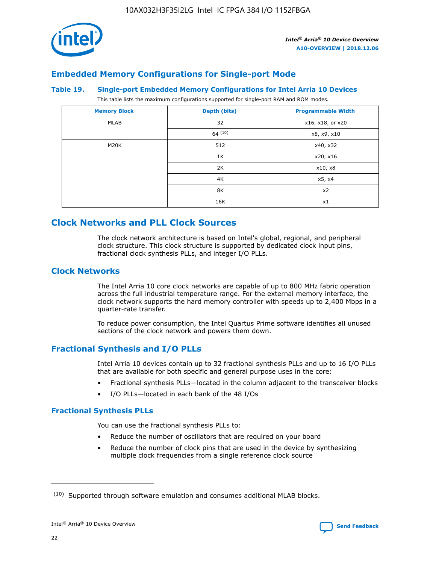

# **Embedded Memory Configurations for Single-port Mode**

## **Table 19. Single-port Embedded Memory Configurations for Intel Arria 10 Devices**

This table lists the maximum configurations supported for single-port RAM and ROM modes.

| <b>Memory Block</b> | Depth (bits) | <b>Programmable Width</b> |
|---------------------|--------------|---------------------------|
| MLAB                | 32           | x16, x18, or x20          |
|                     | 64(10)       | x8, x9, x10               |
| M20K                | 512          | x40, x32                  |
|                     | 1K           | x20, x16                  |
|                     | 2K           | x10, x8                   |
|                     | 4K           | x5, x4                    |
|                     | 8K           | x2                        |
|                     | 16K          | x1                        |

# **Clock Networks and PLL Clock Sources**

The clock network architecture is based on Intel's global, regional, and peripheral clock structure. This clock structure is supported by dedicated clock input pins, fractional clock synthesis PLLs, and integer I/O PLLs.

# **Clock Networks**

The Intel Arria 10 core clock networks are capable of up to 800 MHz fabric operation across the full industrial temperature range. For the external memory interface, the clock network supports the hard memory controller with speeds up to 2,400 Mbps in a quarter-rate transfer.

To reduce power consumption, the Intel Quartus Prime software identifies all unused sections of the clock network and powers them down.

# **Fractional Synthesis and I/O PLLs**

Intel Arria 10 devices contain up to 32 fractional synthesis PLLs and up to 16 I/O PLLs that are available for both specific and general purpose uses in the core:

- Fractional synthesis PLLs—located in the column adjacent to the transceiver blocks
- I/O PLLs—located in each bank of the 48 I/Os

# **Fractional Synthesis PLLs**

You can use the fractional synthesis PLLs to:

- Reduce the number of oscillators that are required on your board
- Reduce the number of clock pins that are used in the device by synthesizing multiple clock frequencies from a single reference clock source

<sup>(10)</sup> Supported through software emulation and consumes additional MLAB blocks.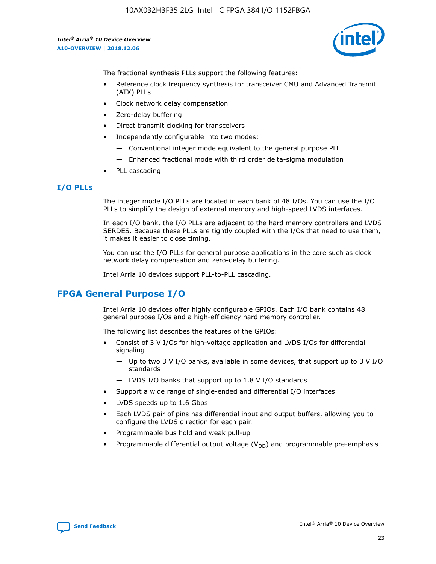

The fractional synthesis PLLs support the following features:

- Reference clock frequency synthesis for transceiver CMU and Advanced Transmit (ATX) PLLs
- Clock network delay compensation
- Zero-delay buffering
- Direct transmit clocking for transceivers
- Independently configurable into two modes:
	- Conventional integer mode equivalent to the general purpose PLL
	- Enhanced fractional mode with third order delta-sigma modulation
- PLL cascading

# **I/O PLLs**

The integer mode I/O PLLs are located in each bank of 48 I/Os. You can use the I/O PLLs to simplify the design of external memory and high-speed LVDS interfaces.

In each I/O bank, the I/O PLLs are adjacent to the hard memory controllers and LVDS SERDES. Because these PLLs are tightly coupled with the I/Os that need to use them, it makes it easier to close timing.

You can use the I/O PLLs for general purpose applications in the core such as clock network delay compensation and zero-delay buffering.

Intel Arria 10 devices support PLL-to-PLL cascading.

# **FPGA General Purpose I/O**

Intel Arria 10 devices offer highly configurable GPIOs. Each I/O bank contains 48 general purpose I/Os and a high-efficiency hard memory controller.

The following list describes the features of the GPIOs:

- Consist of 3 V I/Os for high-voltage application and LVDS I/Os for differential signaling
	- Up to two 3 V I/O banks, available in some devices, that support up to 3 V I/O standards
	- LVDS I/O banks that support up to 1.8 V I/O standards
- Support a wide range of single-ended and differential I/O interfaces
- LVDS speeds up to 1.6 Gbps
- Each LVDS pair of pins has differential input and output buffers, allowing you to configure the LVDS direction for each pair.
- Programmable bus hold and weak pull-up
- Programmable differential output voltage  $(V_{OD})$  and programmable pre-emphasis

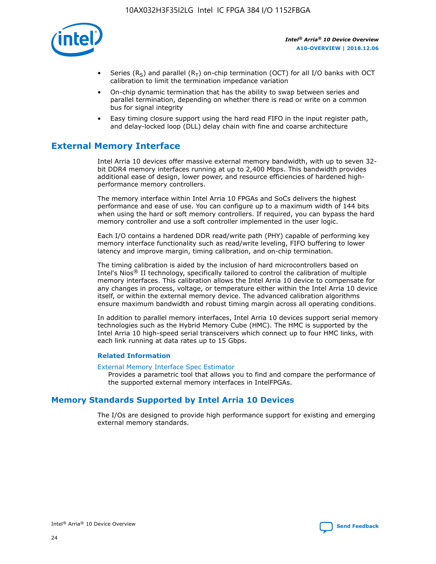

- Series (R<sub>S</sub>) and parallel (R<sub>T</sub>) on-chip termination (OCT) for all I/O banks with OCT calibration to limit the termination impedance variation
- On-chip dynamic termination that has the ability to swap between series and parallel termination, depending on whether there is read or write on a common bus for signal integrity
- Easy timing closure support using the hard read FIFO in the input register path, and delay-locked loop (DLL) delay chain with fine and coarse architecture

# **External Memory Interface**

Intel Arria 10 devices offer massive external memory bandwidth, with up to seven 32 bit DDR4 memory interfaces running at up to 2,400 Mbps. This bandwidth provides additional ease of design, lower power, and resource efficiencies of hardened highperformance memory controllers.

The memory interface within Intel Arria 10 FPGAs and SoCs delivers the highest performance and ease of use. You can configure up to a maximum width of 144 bits when using the hard or soft memory controllers. If required, you can bypass the hard memory controller and use a soft controller implemented in the user logic.

Each I/O contains a hardened DDR read/write path (PHY) capable of performing key memory interface functionality such as read/write leveling, FIFO buffering to lower latency and improve margin, timing calibration, and on-chip termination.

The timing calibration is aided by the inclusion of hard microcontrollers based on Intel's Nios® II technology, specifically tailored to control the calibration of multiple memory interfaces. This calibration allows the Intel Arria 10 device to compensate for any changes in process, voltage, or temperature either within the Intel Arria 10 device itself, or within the external memory device. The advanced calibration algorithms ensure maximum bandwidth and robust timing margin across all operating conditions.

In addition to parallel memory interfaces, Intel Arria 10 devices support serial memory technologies such as the Hybrid Memory Cube (HMC). The HMC is supported by the Intel Arria 10 high-speed serial transceivers which connect up to four HMC links, with each link running at data rates up to 15 Gbps.

## **Related Information**

#### [External Memory Interface Spec Estimator](http://www.altera.com/technology/memory/estimator/mem-emif-index.html)

Provides a parametric tool that allows you to find and compare the performance of the supported external memory interfaces in IntelFPGAs.

# **Memory Standards Supported by Intel Arria 10 Devices**

The I/Os are designed to provide high performance support for existing and emerging external memory standards.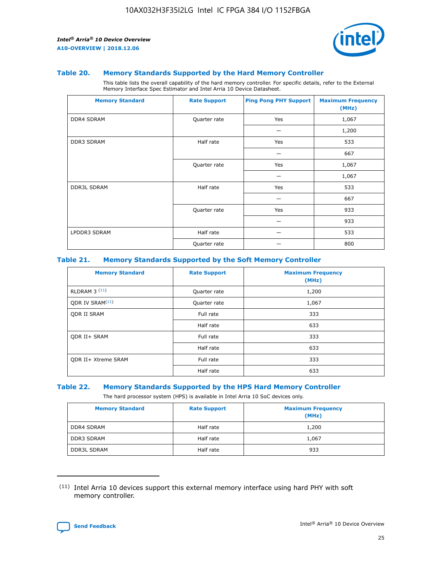

#### **Table 20. Memory Standards Supported by the Hard Memory Controller**

This table lists the overall capability of the hard memory controller. For specific details, refer to the External Memory Interface Spec Estimator and Intel Arria 10 Device Datasheet.

| <b>Memory Standard</b> | <b>Rate Support</b> | <b>Ping Pong PHY Support</b> | <b>Maximum Frequency</b><br>(MHz) |
|------------------------|---------------------|------------------------------|-----------------------------------|
| <b>DDR4 SDRAM</b>      | Quarter rate        | Yes                          | 1,067                             |
|                        |                     |                              | 1,200                             |
| DDR3 SDRAM             | Half rate           | Yes                          | 533                               |
|                        |                     |                              | 667                               |
|                        | Quarter rate        | Yes                          | 1,067                             |
|                        |                     |                              | 1,067                             |
| <b>DDR3L SDRAM</b>     | Half rate           | Yes                          | 533                               |
|                        |                     |                              | 667                               |
|                        | Quarter rate        | Yes                          | 933                               |
|                        |                     |                              | 933                               |
| LPDDR3 SDRAM           | Half rate           |                              | 533                               |
|                        | Quarter rate        |                              | 800                               |

## **Table 21. Memory Standards Supported by the Soft Memory Controller**

| <b>Memory Standard</b>      | <b>Rate Support</b> | <b>Maximum Frequency</b><br>(MHz) |
|-----------------------------|---------------------|-----------------------------------|
| <b>RLDRAM 3 (11)</b>        | Quarter rate        | 1,200                             |
| ODR IV SRAM <sup>(11)</sup> | Quarter rate        | 1,067                             |
| <b>ODR II SRAM</b>          | Full rate           | 333                               |
|                             | Half rate           | 633                               |
| <b>ODR II+ SRAM</b>         | Full rate           | 333                               |
|                             | Half rate           | 633                               |
| <b>ODR II+ Xtreme SRAM</b>  | Full rate           | 333                               |
|                             | Half rate           | 633                               |

#### **Table 22. Memory Standards Supported by the HPS Hard Memory Controller**

The hard processor system (HPS) is available in Intel Arria 10 SoC devices only.

| <b>Memory Standard</b> | <b>Rate Support</b> | <b>Maximum Frequency</b><br>(MHz) |
|------------------------|---------------------|-----------------------------------|
| <b>DDR4 SDRAM</b>      | Half rate           | 1,200                             |
| <b>DDR3 SDRAM</b>      | Half rate           | 1,067                             |
| <b>DDR3L SDRAM</b>     | Half rate           | 933                               |

<sup>(11)</sup> Intel Arria 10 devices support this external memory interface using hard PHY with soft memory controller.

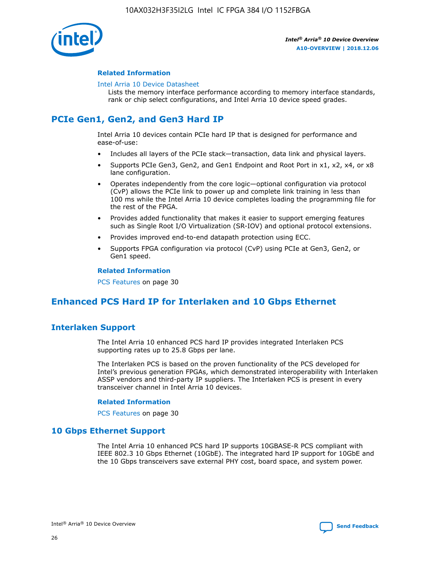

## **Related Information**

#### [Intel Arria 10 Device Datasheet](https://www.intel.com/content/www/us/en/programmable/documentation/mcn1413182292568.html#mcn1413182153340)

Lists the memory interface performance according to memory interface standards, rank or chip select configurations, and Intel Arria 10 device speed grades.

# **PCIe Gen1, Gen2, and Gen3 Hard IP**

Intel Arria 10 devices contain PCIe hard IP that is designed for performance and ease-of-use:

- Includes all layers of the PCIe stack—transaction, data link and physical layers.
- Supports PCIe Gen3, Gen2, and Gen1 Endpoint and Root Port in x1, x2, x4, or x8 lane configuration.
- Operates independently from the core logic—optional configuration via protocol (CvP) allows the PCIe link to power up and complete link training in less than 100 ms while the Intel Arria 10 device completes loading the programming file for the rest of the FPGA.
- Provides added functionality that makes it easier to support emerging features such as Single Root I/O Virtualization (SR-IOV) and optional protocol extensions.
- Provides improved end-to-end datapath protection using ECC.
- Supports FPGA configuration via protocol (CvP) using PCIe at Gen3, Gen2, or Gen1 speed.

#### **Related Information**

PCS Features on page 30

# **Enhanced PCS Hard IP for Interlaken and 10 Gbps Ethernet**

# **Interlaken Support**

The Intel Arria 10 enhanced PCS hard IP provides integrated Interlaken PCS supporting rates up to 25.8 Gbps per lane.

The Interlaken PCS is based on the proven functionality of the PCS developed for Intel's previous generation FPGAs, which demonstrated interoperability with Interlaken ASSP vendors and third-party IP suppliers. The Interlaken PCS is present in every transceiver channel in Intel Arria 10 devices.

## **Related Information**

PCS Features on page 30

# **10 Gbps Ethernet Support**

The Intel Arria 10 enhanced PCS hard IP supports 10GBASE-R PCS compliant with IEEE 802.3 10 Gbps Ethernet (10GbE). The integrated hard IP support for 10GbE and the 10 Gbps transceivers save external PHY cost, board space, and system power.

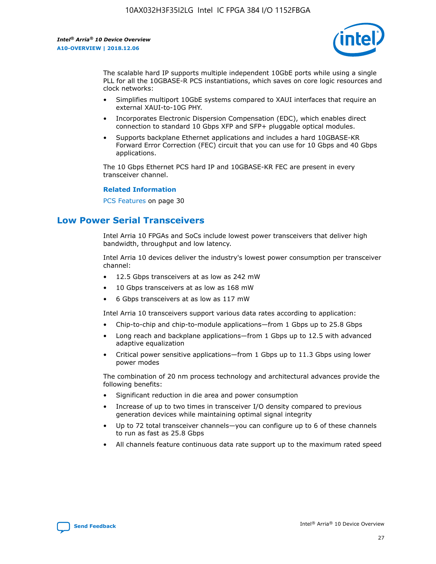

The scalable hard IP supports multiple independent 10GbE ports while using a single PLL for all the 10GBASE-R PCS instantiations, which saves on core logic resources and clock networks:

- Simplifies multiport 10GbE systems compared to XAUI interfaces that require an external XAUI-to-10G PHY.
- Incorporates Electronic Dispersion Compensation (EDC), which enables direct connection to standard 10 Gbps XFP and SFP+ pluggable optical modules.
- Supports backplane Ethernet applications and includes a hard 10GBASE-KR Forward Error Correction (FEC) circuit that you can use for 10 Gbps and 40 Gbps applications.

The 10 Gbps Ethernet PCS hard IP and 10GBASE-KR FEC are present in every transceiver channel.

#### **Related Information**

PCS Features on page 30

# **Low Power Serial Transceivers**

Intel Arria 10 FPGAs and SoCs include lowest power transceivers that deliver high bandwidth, throughput and low latency.

Intel Arria 10 devices deliver the industry's lowest power consumption per transceiver channel:

- 12.5 Gbps transceivers at as low as 242 mW
- 10 Gbps transceivers at as low as 168 mW
- 6 Gbps transceivers at as low as 117 mW

Intel Arria 10 transceivers support various data rates according to application:

- Chip-to-chip and chip-to-module applications—from 1 Gbps up to 25.8 Gbps
- Long reach and backplane applications—from 1 Gbps up to 12.5 with advanced adaptive equalization
- Critical power sensitive applications—from 1 Gbps up to 11.3 Gbps using lower power modes

The combination of 20 nm process technology and architectural advances provide the following benefits:

- Significant reduction in die area and power consumption
- Increase of up to two times in transceiver I/O density compared to previous generation devices while maintaining optimal signal integrity
- Up to 72 total transceiver channels—you can configure up to 6 of these channels to run as fast as 25.8 Gbps
- All channels feature continuous data rate support up to the maximum rated speed

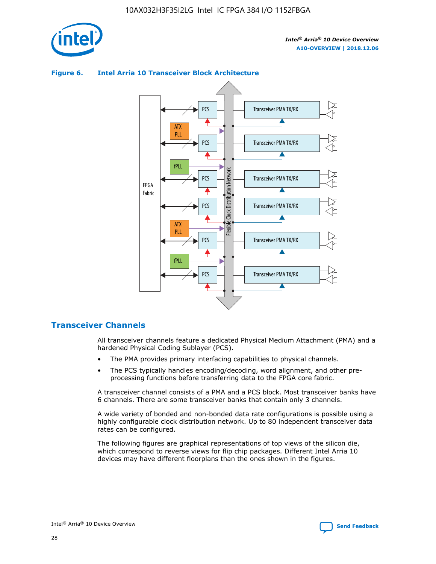

## Transceiver PMA TX/RX PCS ATX PLL Transceiver PMA TX/RX PCS fPLL Network Flexible Clock Distribution Network PCS Transceiver PMA TX/RX FPGA **Clock Distribution** Fabric PCS Transceiver PMA TX/RX ATX Flexible PLL PCS Transceiver PMA TX/RX ▲ fPLL Transceiver PMA TX/RX PCS 4

# **Figure 6. Intel Arria 10 Transceiver Block Architecture**

# **Transceiver Channels**

All transceiver channels feature a dedicated Physical Medium Attachment (PMA) and a hardened Physical Coding Sublayer (PCS).

- The PMA provides primary interfacing capabilities to physical channels.
- The PCS typically handles encoding/decoding, word alignment, and other preprocessing functions before transferring data to the FPGA core fabric.

A transceiver channel consists of a PMA and a PCS block. Most transceiver banks have 6 channels. There are some transceiver banks that contain only 3 channels.

A wide variety of bonded and non-bonded data rate configurations is possible using a highly configurable clock distribution network. Up to 80 independent transceiver data rates can be configured.

The following figures are graphical representations of top views of the silicon die, which correspond to reverse views for flip chip packages. Different Intel Arria 10 devices may have different floorplans than the ones shown in the figures.

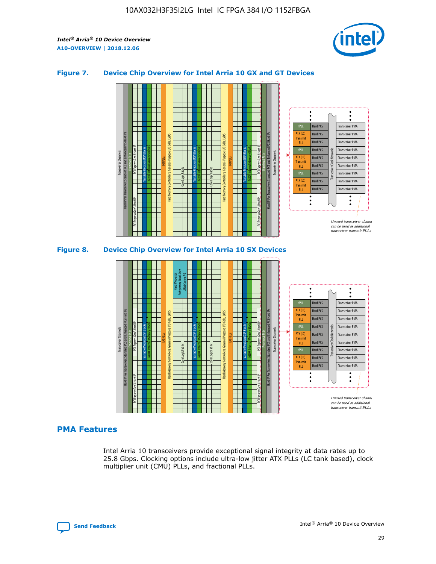

## **Figure 7. Device Chip Overview for Intel Arria 10 GX and GT Devices**



#### M20K Internal Memory Blocks Core Logic Fabric Transceiver Channels Hard IP Per Transceiver: Standard PCS and Enhanced PCS Hard IPs PCI Express Gen3 Hard IP Fractional PLLs M20K Internal Memory Blocks PCI Express Gen3 Hard IP Variable Precision DSP Blocks I/O PLLs Hard Memory Controllers, General-Purpose I/O Cells, LVDS Hard Processor Subsystem, Dual-Core ARM Cortex A9 M20K Internal Memory Blocks Variable Precision DSP Blocks M20K Internal Memory Blocks Core Logic Fabric I/O PLLs Hard Memory Controllers, General-Purpose I/O Cells, LVDS M20K Internal Memory Blocks Variable Precision DSP Blocks M20K Internal Memory Blocks Transceiver Channels Hard IP Per Transceiver: Standard PCS and Enhanced PCS Hard IPs PCI Express Gen3 Hard IP Fractional PLLs PCI Express Gen3 Hard IP Hard PCS Hard PCS Hard PCS Hard PCS Hard PCS Hard PCS Transceiver PMA Transceiver PMA Transceiver PMA Transceiver PMA Unused transceiver chann can be used as additional transceiver transmit PLLs Transceiver PMA Transceiver PMA Transceiver Clock Networks PLL fPLL ATX (LC) Transmi PLL fPLL ATX (LC) **Transmit** PLL

# **PMA Features**

Intel Arria 10 transceivers provide exceptional signal integrity at data rates up to 25.8 Gbps. Clocking options include ultra-low jitter ATX PLLs (LC tank based), clock multiplier unit (CMU) PLLs, and fractional PLLs.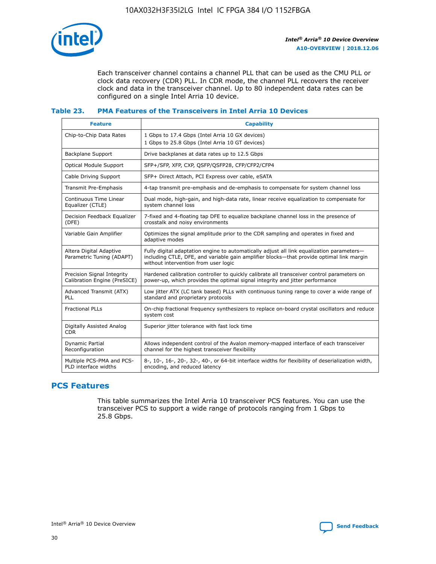

Each transceiver channel contains a channel PLL that can be used as the CMU PLL or clock data recovery (CDR) PLL. In CDR mode, the channel PLL recovers the receiver clock and data in the transceiver channel. Up to 80 independent data rates can be configured on a single Intel Arria 10 device.

## **Table 23. PMA Features of the Transceivers in Intel Arria 10 Devices**

| <b>Feature</b>                                             | <b>Capability</b>                                                                                                                                                                                                             |
|------------------------------------------------------------|-------------------------------------------------------------------------------------------------------------------------------------------------------------------------------------------------------------------------------|
| Chip-to-Chip Data Rates                                    | 1 Gbps to 17.4 Gbps (Intel Arria 10 GX devices)<br>1 Gbps to 25.8 Gbps (Intel Arria 10 GT devices)                                                                                                                            |
| Backplane Support                                          | Drive backplanes at data rates up to 12.5 Gbps                                                                                                                                                                                |
| Optical Module Support                                     | SFP+/SFP, XFP, CXP, QSFP/QSFP28, CFP/CFP2/CFP4                                                                                                                                                                                |
| Cable Driving Support                                      | SFP+ Direct Attach, PCI Express over cable, eSATA                                                                                                                                                                             |
| Transmit Pre-Emphasis                                      | 4-tap transmit pre-emphasis and de-emphasis to compensate for system channel loss                                                                                                                                             |
| Continuous Time Linear<br>Equalizer (CTLE)                 | Dual mode, high-gain, and high-data rate, linear receive equalization to compensate for<br>system channel loss                                                                                                                |
| Decision Feedback Equalizer<br>(DFE)                       | 7-fixed and 4-floating tap DFE to equalize backplane channel loss in the presence of<br>crosstalk and noisy environments                                                                                                      |
| Variable Gain Amplifier                                    | Optimizes the signal amplitude prior to the CDR sampling and operates in fixed and<br>adaptive modes                                                                                                                          |
| Altera Digital Adaptive<br>Parametric Tuning (ADAPT)       | Fully digital adaptation engine to automatically adjust all link equalization parameters-<br>including CTLE, DFE, and variable gain amplifier blocks—that provide optimal link margin<br>without intervention from user logic |
| Precision Signal Integrity<br>Calibration Engine (PreSICE) | Hardened calibration controller to quickly calibrate all transceiver control parameters on<br>power-up, which provides the optimal signal integrity and jitter performance                                                    |
| Advanced Transmit (ATX)<br><b>PLL</b>                      | Low jitter ATX (LC tank based) PLLs with continuous tuning range to cover a wide range of<br>standard and proprietary protocols                                                                                               |
| <b>Fractional PLLs</b>                                     | On-chip fractional frequency synthesizers to replace on-board crystal oscillators and reduce<br>system cost                                                                                                                   |
| Digitally Assisted Analog<br><b>CDR</b>                    | Superior jitter tolerance with fast lock time                                                                                                                                                                                 |
| Dynamic Partial<br>Reconfiguration                         | Allows independent control of the Avalon memory-mapped interface of each transceiver<br>channel for the highest transceiver flexibility                                                                                       |
| Multiple PCS-PMA and PCS-<br>PLD interface widths          | 8-, 10-, 16-, 20-, 32-, 40-, or 64-bit interface widths for flexibility of deserialization width,<br>encoding, and reduced latency                                                                                            |

# **PCS Features**

This table summarizes the Intel Arria 10 transceiver PCS features. You can use the transceiver PCS to support a wide range of protocols ranging from 1 Gbps to 25.8 Gbps.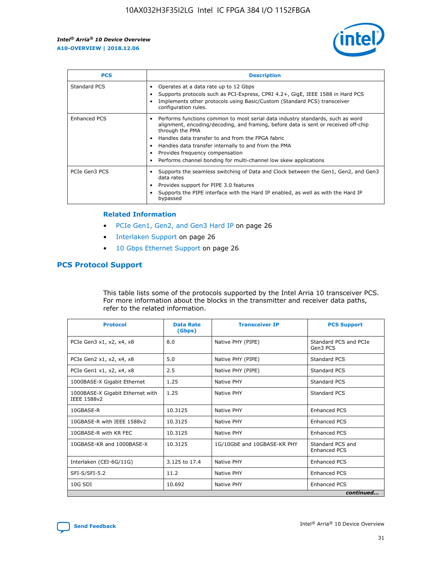

| <b>PCS</b>    | <b>Description</b>                                                                                                                                                                                                                                                                                                                                                                                             |
|---------------|----------------------------------------------------------------------------------------------------------------------------------------------------------------------------------------------------------------------------------------------------------------------------------------------------------------------------------------------------------------------------------------------------------------|
| Standard PCS  | Operates at a data rate up to 12 Gbps<br>Supports protocols such as PCI-Express, CPRI 4.2+, GigE, IEEE 1588 in Hard PCS<br>Implements other protocols using Basic/Custom (Standard PCS) transceiver<br>configuration rules.                                                                                                                                                                                    |
| Enhanced PCS  | Performs functions common to most serial data industry standards, such as word<br>alignment, encoding/decoding, and framing, before data is sent or received off-chip<br>through the PMA<br>• Handles data transfer to and from the FPGA fabric<br>Handles data transfer internally to and from the PMA<br>Provides frequency compensation<br>Performs channel bonding for multi-channel low skew applications |
| PCIe Gen3 PCS | Supports the seamless switching of Data and Clock between the Gen1, Gen2, and Gen3<br>data rates<br>Provides support for PIPE 3.0 features<br>Supports the PIPE interface with the Hard IP enabled, as well as with the Hard IP<br>bypassed                                                                                                                                                                    |

#### **Related Information**

- PCIe Gen1, Gen2, and Gen3 Hard IP on page 26
- Interlaken Support on page 26
- 10 Gbps Ethernet Support on page 26

# **PCS Protocol Support**

This table lists some of the protocols supported by the Intel Arria 10 transceiver PCS. For more information about the blocks in the transmitter and receiver data paths, refer to the related information.

| <b>Protocol</b>                                 | <b>Data Rate</b><br>(Gbps) | <b>Transceiver IP</b>       | <b>PCS Support</b>                      |
|-------------------------------------------------|----------------------------|-----------------------------|-----------------------------------------|
| PCIe Gen3 x1, x2, x4, x8                        | 8.0                        | Native PHY (PIPE)           | Standard PCS and PCIe<br>Gen3 PCS       |
| PCIe Gen2 x1, x2, x4, x8                        | 5.0                        | Native PHY (PIPE)           | <b>Standard PCS</b>                     |
| PCIe Gen1 x1, x2, x4, x8                        | 2.5                        | Native PHY (PIPE)           | Standard PCS                            |
| 1000BASE-X Gigabit Ethernet                     | 1.25                       | Native PHY                  | <b>Standard PCS</b>                     |
| 1000BASE-X Gigabit Ethernet with<br>IEEE 1588v2 | 1.25                       | Native PHY                  | Standard PCS                            |
| 10GBASE-R                                       | 10.3125                    | Native PHY                  | <b>Enhanced PCS</b>                     |
| 10GBASE-R with IEEE 1588v2                      | 10.3125                    | Native PHY                  | <b>Enhanced PCS</b>                     |
| 10GBASE-R with KR FEC                           | 10.3125                    | Native PHY                  | <b>Enhanced PCS</b>                     |
| 10GBASE-KR and 1000BASE-X                       | 10.3125                    | 1G/10GbE and 10GBASE-KR PHY | Standard PCS and<br><b>Enhanced PCS</b> |
| Interlaken (CEI-6G/11G)                         | 3.125 to 17.4              | Native PHY                  | <b>Enhanced PCS</b>                     |
| SFI-S/SFI-5.2                                   | 11.2                       | Native PHY                  | <b>Enhanced PCS</b>                     |
| $10G$ SDI                                       | 10.692                     | Native PHY                  | <b>Enhanced PCS</b>                     |
|                                                 |                            |                             | continued                               |

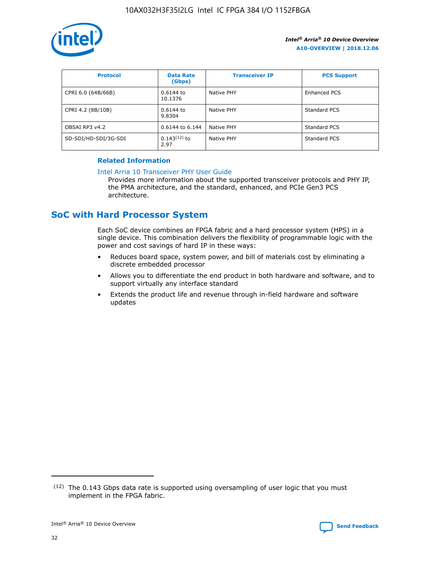

| <b>Protocol</b>      | <b>Data Rate</b><br>(Gbps) | <b>Transceiver IP</b> | <b>PCS Support</b> |
|----------------------|----------------------------|-----------------------|--------------------|
| CPRI 6.0 (64B/66B)   | 0.6144 to<br>10.1376       | Native PHY            | Enhanced PCS       |
| CPRI 4.2 (8B/10B)    | $0.6144$ to<br>9.8304      | Native PHY            | Standard PCS       |
| OBSAI RP3 v4.2       | 0.6144 to 6.144            | Native PHY            | Standard PCS       |
| SD-SDI/HD-SDI/3G-SDI | $0.143(12)$ to<br>2.97     | Native PHY            | Standard PCS       |

# **Related Information**

#### [Intel Arria 10 Transceiver PHY User Guide](https://www.intel.com/content/www/us/en/programmable/documentation/nik1398707230472.html#nik1398707091164)

Provides more information about the supported transceiver protocols and PHY IP, the PMA architecture, and the standard, enhanced, and PCIe Gen3 PCS architecture.

# **SoC with Hard Processor System**

Each SoC device combines an FPGA fabric and a hard processor system (HPS) in a single device. This combination delivers the flexibility of programmable logic with the power and cost savings of hard IP in these ways:

- Reduces board space, system power, and bill of materials cost by eliminating a discrete embedded processor
- Allows you to differentiate the end product in both hardware and software, and to support virtually any interface standard
- Extends the product life and revenue through in-field hardware and software updates

 $(12)$  The 0.143 Gbps data rate is supported using oversampling of user logic that you must implement in the FPGA fabric.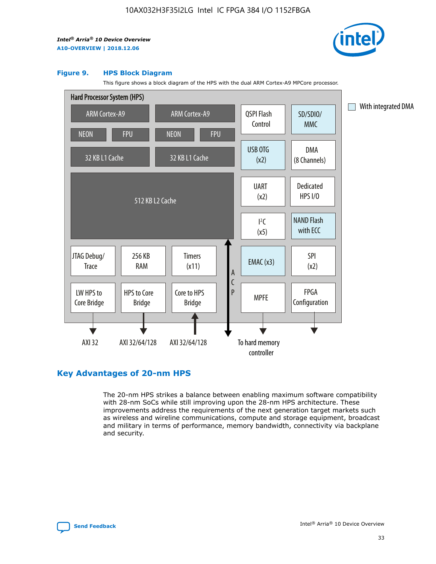

#### **Figure 9. HPS Block Diagram**

This figure shows a block diagram of the HPS with the dual ARM Cortex-A9 MPCore processor.



# **Key Advantages of 20-nm HPS**

The 20-nm HPS strikes a balance between enabling maximum software compatibility with 28-nm SoCs while still improving upon the 28-nm HPS architecture. These improvements address the requirements of the next generation target markets such as wireless and wireline communications, compute and storage equipment, broadcast and military in terms of performance, memory bandwidth, connectivity via backplane and security.

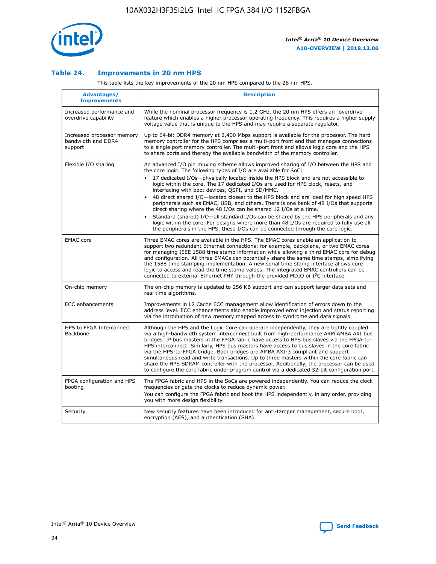

## **Table 24. Improvements in 20 nm HPS**

This table lists the key improvements of the 20 nm HPS compared to the 28 nm HPS.

| <b>Advantages/</b><br><b>Improvements</b>                   | <b>Description</b>                                                                                                                                                                                                                                                                                                                                                                                                                                                                                                                                                                                                                                                                                                                                                                                                                                                                                                      |
|-------------------------------------------------------------|-------------------------------------------------------------------------------------------------------------------------------------------------------------------------------------------------------------------------------------------------------------------------------------------------------------------------------------------------------------------------------------------------------------------------------------------------------------------------------------------------------------------------------------------------------------------------------------------------------------------------------------------------------------------------------------------------------------------------------------------------------------------------------------------------------------------------------------------------------------------------------------------------------------------------|
| Increased performance and<br>overdrive capability           | While the nominal processor frequency is 1.2 GHz, the 20 nm HPS offers an "overdrive"<br>feature which enables a higher processor operating frequency. This requires a higher supply<br>voltage value that is unique to the HPS and may require a separate regulator.                                                                                                                                                                                                                                                                                                                                                                                                                                                                                                                                                                                                                                                   |
| Increased processor memory<br>bandwidth and DDR4<br>support | Up to 64-bit DDR4 memory at 2,400 Mbps support is available for the processor. The hard<br>memory controller for the HPS comprises a multi-port front end that manages connections<br>to a single port memory controller. The multi-port front end allows logic core and the HPS<br>to share ports and thereby the available bandwidth of the memory controller.                                                                                                                                                                                                                                                                                                                                                                                                                                                                                                                                                        |
| Flexible I/O sharing                                        | An advanced I/O pin muxing scheme allows improved sharing of I/O between the HPS and<br>the core logic. The following types of I/O are available for SoC:<br>17 dedicated I/Os-physically located inside the HPS block and are not accessible to<br>logic within the core. The 17 dedicated I/Os are used for HPS clock, resets, and<br>interfacing with boot devices, QSPI, and SD/MMC.<br>48 direct shared I/O-located closest to the HPS block and are ideal for high speed HPS<br>peripherals such as EMAC, USB, and others. There is one bank of 48 I/Os that supports<br>direct sharing where the 48 I/Os can be shared 12 I/Os at a time.<br>Standard (shared) I/O-all standard I/Os can be shared by the HPS peripherals and any<br>logic within the core. For designs where more than 48 I/Os are required to fully use all<br>the peripherals in the HPS, these I/Os can be connected through the core logic. |
| <b>EMAC</b> core                                            | Three EMAC cores are available in the HPS. The EMAC cores enable an application to<br>support two redundant Ethernet connections; for example, backplane, or two EMAC cores<br>for managing IEEE 1588 time stamp information while allowing a third EMAC core for debug<br>and configuration. All three EMACs can potentially share the same time stamps, simplifying<br>the 1588 time stamping implementation. A new serial time stamp interface allows core<br>logic to access and read the time stamp values. The integrated EMAC controllers can be<br>connected to external Ethernet PHY through the provided MDIO or I <sup>2</sup> C interface.                                                                                                                                                                                                                                                                  |
| On-chip memory                                              | The on-chip memory is updated to 256 KB support and can support larger data sets and<br>real time algorithms.                                                                                                                                                                                                                                                                                                                                                                                                                                                                                                                                                                                                                                                                                                                                                                                                           |
| <b>ECC</b> enhancements                                     | Improvements in L2 Cache ECC management allow identification of errors down to the<br>address level. ECC enhancements also enable improved error injection and status reporting<br>via the introduction of new memory mapped access to syndrome and data signals.                                                                                                                                                                                                                                                                                                                                                                                                                                                                                                                                                                                                                                                       |
| HPS to FPGA Interconnect<br>Backbone                        | Although the HPS and the Logic Core can operate independently, they are tightly coupled<br>via a high-bandwidth system interconnect built from high-performance ARM AMBA AXI bus<br>bridges. IP bus masters in the FPGA fabric have access to HPS bus slaves via the FPGA-to-<br>HPS interconnect. Similarly, HPS bus masters have access to bus slaves in the core fabric<br>via the HPS-to-FPGA bridge. Both bridges are AMBA AXI-3 compliant and support<br>simultaneous read and write transactions. Up to three masters within the core fabric can<br>share the HPS SDRAM controller with the processor. Additionally, the processor can be used<br>to configure the core fabric under program control via a dedicated 32-bit configuration port.                                                                                                                                                                  |
| FPGA configuration and HPS<br>booting                       | The FPGA fabric and HPS in the SoCs are powered independently. You can reduce the clock<br>frequencies or gate the clocks to reduce dynamic power.<br>You can configure the FPGA fabric and boot the HPS independently, in any order, providing<br>you with more design flexibility.                                                                                                                                                                                                                                                                                                                                                                                                                                                                                                                                                                                                                                    |
| Security                                                    | New security features have been introduced for anti-tamper management, secure boot,<br>encryption (AES), and authentication (SHA).                                                                                                                                                                                                                                                                                                                                                                                                                                                                                                                                                                                                                                                                                                                                                                                      |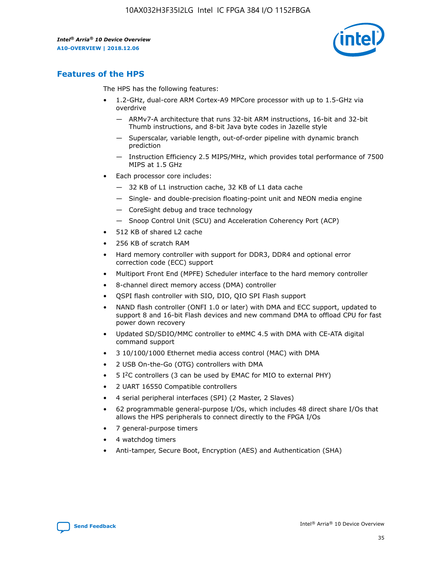

# **Features of the HPS**

The HPS has the following features:

- 1.2-GHz, dual-core ARM Cortex-A9 MPCore processor with up to 1.5-GHz via overdrive
	- ARMv7-A architecture that runs 32-bit ARM instructions, 16-bit and 32-bit Thumb instructions, and 8-bit Java byte codes in Jazelle style
	- Superscalar, variable length, out-of-order pipeline with dynamic branch prediction
	- Instruction Efficiency 2.5 MIPS/MHz, which provides total performance of 7500 MIPS at 1.5 GHz
- Each processor core includes:
	- 32 KB of L1 instruction cache, 32 KB of L1 data cache
	- Single- and double-precision floating-point unit and NEON media engine
	- CoreSight debug and trace technology
	- Snoop Control Unit (SCU) and Acceleration Coherency Port (ACP)
- 512 KB of shared L2 cache
- 256 KB of scratch RAM
- Hard memory controller with support for DDR3, DDR4 and optional error correction code (ECC) support
- Multiport Front End (MPFE) Scheduler interface to the hard memory controller
- 8-channel direct memory access (DMA) controller
- QSPI flash controller with SIO, DIO, QIO SPI Flash support
- NAND flash controller (ONFI 1.0 or later) with DMA and ECC support, updated to support 8 and 16-bit Flash devices and new command DMA to offload CPU for fast power down recovery
- Updated SD/SDIO/MMC controller to eMMC 4.5 with DMA with CE-ATA digital command support
- 3 10/100/1000 Ethernet media access control (MAC) with DMA
- 2 USB On-the-Go (OTG) controllers with DMA
- $\bullet$  5 I<sup>2</sup>C controllers (3 can be used by EMAC for MIO to external PHY)
- 2 UART 16550 Compatible controllers
- 4 serial peripheral interfaces (SPI) (2 Master, 2 Slaves)
- 62 programmable general-purpose I/Os, which includes 48 direct share I/Os that allows the HPS peripherals to connect directly to the FPGA I/Os
- 7 general-purpose timers
- 4 watchdog timers
- Anti-tamper, Secure Boot, Encryption (AES) and Authentication (SHA)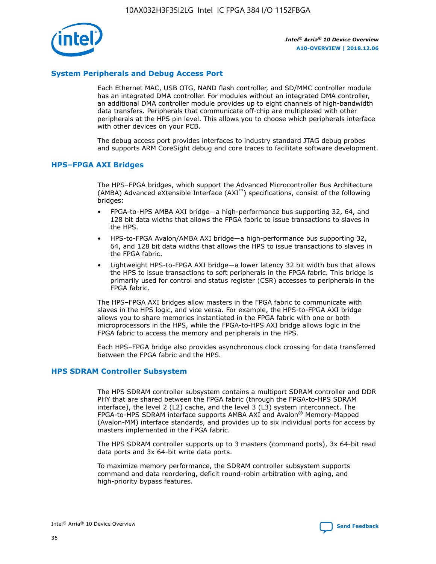

# **System Peripherals and Debug Access Port**

Each Ethernet MAC, USB OTG, NAND flash controller, and SD/MMC controller module has an integrated DMA controller. For modules without an integrated DMA controller, an additional DMA controller module provides up to eight channels of high-bandwidth data transfers. Peripherals that communicate off-chip are multiplexed with other peripherals at the HPS pin level. This allows you to choose which peripherals interface with other devices on your PCB.

The debug access port provides interfaces to industry standard JTAG debug probes and supports ARM CoreSight debug and core traces to facilitate software development.

#### **HPS–FPGA AXI Bridges**

The HPS–FPGA bridges, which support the Advanced Microcontroller Bus Architecture (AMBA) Advanced eXtensible Interface (AXI™) specifications, consist of the following bridges:

- FPGA-to-HPS AMBA AXI bridge—a high-performance bus supporting 32, 64, and 128 bit data widths that allows the FPGA fabric to issue transactions to slaves in the HPS.
- HPS-to-FPGA Avalon/AMBA AXI bridge—a high-performance bus supporting 32, 64, and 128 bit data widths that allows the HPS to issue transactions to slaves in the FPGA fabric.
- Lightweight HPS-to-FPGA AXI bridge—a lower latency 32 bit width bus that allows the HPS to issue transactions to soft peripherals in the FPGA fabric. This bridge is primarily used for control and status register (CSR) accesses to peripherals in the FPGA fabric.

The HPS–FPGA AXI bridges allow masters in the FPGA fabric to communicate with slaves in the HPS logic, and vice versa. For example, the HPS-to-FPGA AXI bridge allows you to share memories instantiated in the FPGA fabric with one or both microprocessors in the HPS, while the FPGA-to-HPS AXI bridge allows logic in the FPGA fabric to access the memory and peripherals in the HPS.

Each HPS–FPGA bridge also provides asynchronous clock crossing for data transferred between the FPGA fabric and the HPS.

#### **HPS SDRAM Controller Subsystem**

The HPS SDRAM controller subsystem contains a multiport SDRAM controller and DDR PHY that are shared between the FPGA fabric (through the FPGA-to-HPS SDRAM interface), the level 2 (L2) cache, and the level 3 (L3) system interconnect. The FPGA-to-HPS SDRAM interface supports AMBA AXI and Avalon® Memory-Mapped (Avalon-MM) interface standards, and provides up to six individual ports for access by masters implemented in the FPGA fabric.

The HPS SDRAM controller supports up to 3 masters (command ports), 3x 64-bit read data ports and 3x 64-bit write data ports.

To maximize memory performance, the SDRAM controller subsystem supports command and data reordering, deficit round-robin arbitration with aging, and high-priority bypass features.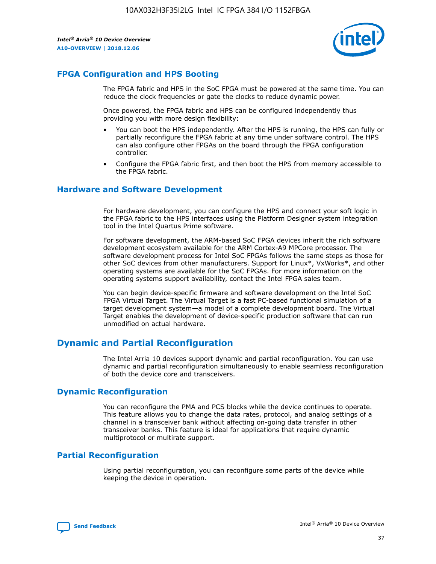

# **FPGA Configuration and HPS Booting**

The FPGA fabric and HPS in the SoC FPGA must be powered at the same time. You can reduce the clock frequencies or gate the clocks to reduce dynamic power.

Once powered, the FPGA fabric and HPS can be configured independently thus providing you with more design flexibility:

- You can boot the HPS independently. After the HPS is running, the HPS can fully or partially reconfigure the FPGA fabric at any time under software control. The HPS can also configure other FPGAs on the board through the FPGA configuration controller.
- Configure the FPGA fabric first, and then boot the HPS from memory accessible to the FPGA fabric.

## **Hardware and Software Development**

For hardware development, you can configure the HPS and connect your soft logic in the FPGA fabric to the HPS interfaces using the Platform Designer system integration tool in the Intel Quartus Prime software.

For software development, the ARM-based SoC FPGA devices inherit the rich software development ecosystem available for the ARM Cortex-A9 MPCore processor. The software development process for Intel SoC FPGAs follows the same steps as those for other SoC devices from other manufacturers. Support for Linux\*, VxWorks\*, and other operating systems are available for the SoC FPGAs. For more information on the operating systems support availability, contact the Intel FPGA sales team.

You can begin device-specific firmware and software development on the Intel SoC FPGA Virtual Target. The Virtual Target is a fast PC-based functional simulation of a target development system—a model of a complete development board. The Virtual Target enables the development of device-specific production software that can run unmodified on actual hardware.

# **Dynamic and Partial Reconfiguration**

The Intel Arria 10 devices support dynamic and partial reconfiguration. You can use dynamic and partial reconfiguration simultaneously to enable seamless reconfiguration of both the device core and transceivers.

# **Dynamic Reconfiguration**

You can reconfigure the PMA and PCS blocks while the device continues to operate. This feature allows you to change the data rates, protocol, and analog settings of a channel in a transceiver bank without affecting on-going data transfer in other transceiver banks. This feature is ideal for applications that require dynamic multiprotocol or multirate support.

# **Partial Reconfiguration**

Using partial reconfiguration, you can reconfigure some parts of the device while keeping the device in operation.

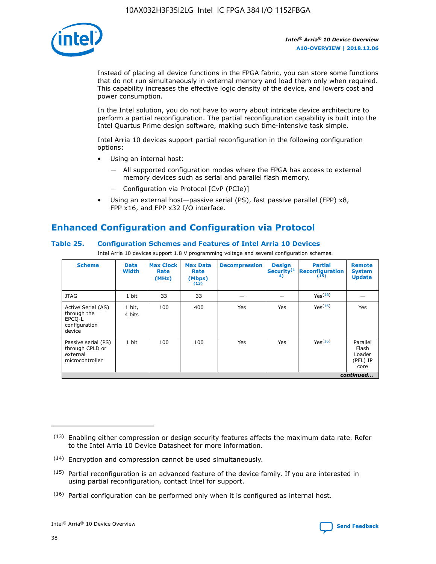

Instead of placing all device functions in the FPGA fabric, you can store some functions that do not run simultaneously in external memory and load them only when required. This capability increases the effective logic density of the device, and lowers cost and power consumption.

In the Intel solution, you do not have to worry about intricate device architecture to perform a partial reconfiguration. The partial reconfiguration capability is built into the Intel Quartus Prime design software, making such time-intensive task simple.

Intel Arria 10 devices support partial reconfiguration in the following configuration options:

- Using an internal host:
	- All supported configuration modes where the FPGA has access to external memory devices such as serial and parallel flash memory.
	- Configuration via Protocol [CvP (PCIe)]
- Using an external host—passive serial (PS), fast passive parallel (FPP) x8, FPP x16, and FPP x32 I/O interface.

# **Enhanced Configuration and Configuration via Protocol**

## **Table 25. Configuration Schemes and Features of Intel Arria 10 Devices**

Intel Arria 10 devices support 1.8 V programming voltage and several configuration schemes.

| <b>Scheme</b>                                                          | <b>Data</b><br><b>Width</b> | <b>Max Clock</b><br>Rate<br>(MHz) | <b>Max Data</b><br>Rate<br>(Mbps)<br>(13) | <b>Decompression</b> | <b>Design</b><br>Security <sup>(1</sup><br>4) | <b>Partial</b><br>Reconfiguration<br>(15) | <b>Remote</b><br><b>System</b><br><b>Update</b> |
|------------------------------------------------------------------------|-----------------------------|-----------------------------------|-------------------------------------------|----------------------|-----------------------------------------------|-------------------------------------------|-------------------------------------------------|
| <b>JTAG</b>                                                            | 1 bit                       | 33                                | 33                                        |                      |                                               | Yes <sup>(16)</sup>                       |                                                 |
| Active Serial (AS)<br>through the<br>EPCO-L<br>configuration<br>device | 1 bit,<br>4 bits            | 100                               | 400                                       | Yes                  | Yes                                           | $Y_{PS}(16)$                              | Yes                                             |
| Passive serial (PS)<br>through CPLD or<br>external<br>microcontroller  | 1 bit                       | 100                               | 100                                       | Yes                  | Yes                                           | Yes(16)                                   | Parallel<br>Flash<br>Loader<br>(PFL) IP<br>core |
|                                                                        | continued                   |                                   |                                           |                      |                                               |                                           |                                                 |

<sup>(13)</sup> Enabling either compression or design security features affects the maximum data rate. Refer to the Intel Arria 10 Device Datasheet for more information.

<sup>(14)</sup> Encryption and compression cannot be used simultaneously.

 $<sup>(15)</sup>$  Partial reconfiguration is an advanced feature of the device family. If you are interested in</sup> using partial reconfiguration, contact Intel for support.

 $(16)$  Partial configuration can be performed only when it is configured as internal host.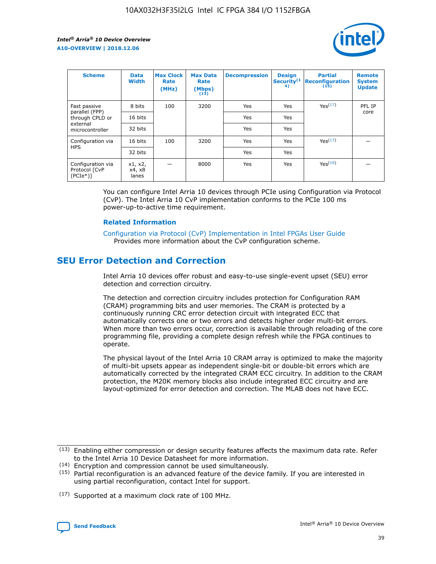

| <b>Scheme</b>                                   | <b>Data</b><br><b>Width</b> | <b>Max Clock</b><br>Rate<br>(MHz) | <b>Max Data</b><br>Rate<br>(Mbps)<br>(13) | <b>Decompression</b> | <b>Design</b><br>Security <sup>(1</sup><br>4) | <b>Partial</b><br><b>Reconfiguration</b><br>(15) | <b>Remote</b><br><b>System</b><br><b>Update</b> |
|-------------------------------------------------|-----------------------------|-----------------------------------|-------------------------------------------|----------------------|-----------------------------------------------|--------------------------------------------------|-------------------------------------------------|
| Fast passive                                    | 8 bits                      | 100                               | 3200                                      | Yes                  | Yes                                           | Yes <sup>(17)</sup>                              | PFL IP                                          |
| parallel (FPP)<br>through CPLD or               | 16 bits                     |                                   |                                           | Yes                  | Yes                                           |                                                  | core                                            |
| external<br>microcontroller                     | 32 bits                     |                                   |                                           | Yes                  | Yes                                           |                                                  |                                                 |
| Configuration via                               | 16 bits                     | 100                               | 3200                                      | Yes                  | Yes                                           | Yes <sup>(17)</sup>                              |                                                 |
| <b>HPS</b>                                      | 32 bits                     |                                   |                                           | Yes                  | Yes                                           |                                                  |                                                 |
| Configuration via<br>Protocol [CvP<br>$(PCIe*)$ | x1, x2,<br>x4, x8<br>lanes  |                                   | 8000                                      | Yes                  | Yes                                           | Yes <sup>(16)</sup>                              |                                                 |

You can configure Intel Arria 10 devices through PCIe using Configuration via Protocol (CvP). The Intel Arria 10 CvP implementation conforms to the PCIe 100 ms power-up-to-active time requirement.

#### **Related Information**

[Configuration via Protocol \(CvP\) Implementation in Intel FPGAs User Guide](https://www.intel.com/content/www/us/en/programmable/documentation/dsu1441819344145.html#dsu1442269728522) Provides more information about the CvP configuration scheme.

# **SEU Error Detection and Correction**

Intel Arria 10 devices offer robust and easy-to-use single-event upset (SEU) error detection and correction circuitry.

The detection and correction circuitry includes protection for Configuration RAM (CRAM) programming bits and user memories. The CRAM is protected by a continuously running CRC error detection circuit with integrated ECC that automatically corrects one or two errors and detects higher order multi-bit errors. When more than two errors occur, correction is available through reloading of the core programming file, providing a complete design refresh while the FPGA continues to operate.

The physical layout of the Intel Arria 10 CRAM array is optimized to make the majority of multi-bit upsets appear as independent single-bit or double-bit errors which are automatically corrected by the integrated CRAM ECC circuitry. In addition to the CRAM protection, the M20K memory blocks also include integrated ECC circuitry and are layout-optimized for error detection and correction. The MLAB does not have ECC.

(14) Encryption and compression cannot be used simultaneously.

<sup>(17)</sup> Supported at a maximum clock rate of 100 MHz.



 $(13)$  Enabling either compression or design security features affects the maximum data rate. Refer to the Intel Arria 10 Device Datasheet for more information.

 $(15)$  Partial reconfiguration is an advanced feature of the device family. If you are interested in using partial reconfiguration, contact Intel for support.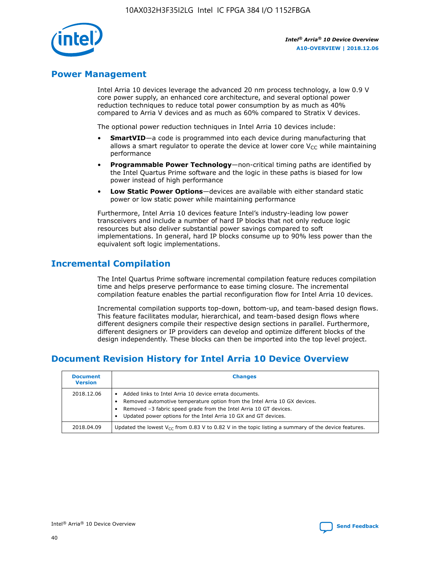

# **Power Management**

Intel Arria 10 devices leverage the advanced 20 nm process technology, a low 0.9 V core power supply, an enhanced core architecture, and several optional power reduction techniques to reduce total power consumption by as much as 40% compared to Arria V devices and as much as 60% compared to Stratix V devices.

The optional power reduction techniques in Intel Arria 10 devices include:

- **SmartVID**—a code is programmed into each device during manufacturing that allows a smart regulator to operate the device at lower core  $V_{CC}$  while maintaining performance
- **Programmable Power Technology**—non-critical timing paths are identified by the Intel Quartus Prime software and the logic in these paths is biased for low power instead of high performance
- **Low Static Power Options**—devices are available with either standard static power or low static power while maintaining performance

Furthermore, Intel Arria 10 devices feature Intel's industry-leading low power transceivers and include a number of hard IP blocks that not only reduce logic resources but also deliver substantial power savings compared to soft implementations. In general, hard IP blocks consume up to 90% less power than the equivalent soft logic implementations.

# **Incremental Compilation**

The Intel Quartus Prime software incremental compilation feature reduces compilation time and helps preserve performance to ease timing closure. The incremental compilation feature enables the partial reconfiguration flow for Intel Arria 10 devices.

Incremental compilation supports top-down, bottom-up, and team-based design flows. This feature facilitates modular, hierarchical, and team-based design flows where different designers compile their respective design sections in parallel. Furthermore, different designers or IP providers can develop and optimize different blocks of the design independently. These blocks can then be imported into the top level project.

# **Document Revision History for Intel Arria 10 Device Overview**

| <b>Document</b><br><b>Version</b> | <b>Changes</b>                                                                                                                                                                                                                                                              |
|-----------------------------------|-----------------------------------------------------------------------------------------------------------------------------------------------------------------------------------------------------------------------------------------------------------------------------|
| 2018.12.06                        | Added links to Intel Arria 10 device errata documents.<br>Removed automotive temperature option from the Intel Arria 10 GX devices.<br>Removed -3 fabric speed grade from the Intel Arria 10 GT devices.<br>Updated power options for the Intel Arria 10 GX and GT devices. |
| 2018.04.09                        | Updated the lowest $V_{CC}$ from 0.83 V to 0.82 V in the topic listing a summary of the device features.                                                                                                                                                                    |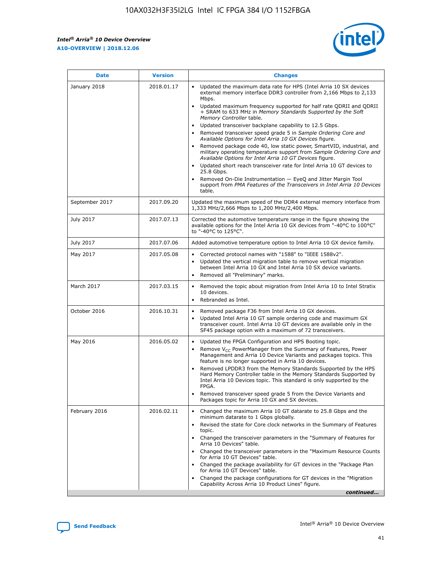*Intel® Arria® 10 Device Overview* **A10-OVERVIEW | 2018.12.06**



| <b>Date</b>    | <b>Version</b> | <b>Changes</b>                                                                                                                                                                                                                                                                                                                                                                                                                                                                                                                                                                                                                                                                                                                                                                                                                                                                                                                                                            |
|----------------|----------------|---------------------------------------------------------------------------------------------------------------------------------------------------------------------------------------------------------------------------------------------------------------------------------------------------------------------------------------------------------------------------------------------------------------------------------------------------------------------------------------------------------------------------------------------------------------------------------------------------------------------------------------------------------------------------------------------------------------------------------------------------------------------------------------------------------------------------------------------------------------------------------------------------------------------------------------------------------------------------|
| January 2018   | 2018.01.17     | Updated the maximum data rate for HPS (Intel Arria 10 SX devices<br>external memory interface DDR3 controller from 2,166 Mbps to 2,133<br>Mbps.<br>Updated maximum frequency supported for half rate QDRII and QDRII<br>+ SRAM to 633 MHz in Memory Standards Supported by the Soft<br>Memory Controller table.<br>Updated transceiver backplane capability to 12.5 Gbps.<br>$\bullet$<br>Removed transceiver speed grade 5 in Sample Ordering Core and<br>Available Options for Intel Arria 10 GX Devices figure.<br>Removed package code 40, low static power, SmartVID, industrial, and<br>military operating temperature support from Sample Ordering Core and<br>Available Options for Intel Arria 10 GT Devices figure.<br>Updated short reach transceiver rate for Intel Arria 10 GT devices to<br>25.8 Gbps.<br>Removed On-Die Instrumentation - EyeQ and Jitter Margin Tool<br>support from PMA Features of the Transceivers in Intel Arria 10 Devices<br>table. |
| September 2017 | 2017.09.20     | Updated the maximum speed of the DDR4 external memory interface from<br>1,333 MHz/2,666 Mbps to 1,200 MHz/2,400 Mbps.                                                                                                                                                                                                                                                                                                                                                                                                                                                                                                                                                                                                                                                                                                                                                                                                                                                     |
| July 2017      | 2017.07.13     | Corrected the automotive temperature range in the figure showing the<br>available options for the Intel Arria 10 GX devices from "-40°C to 100°C"<br>to "-40°C to 125°C".                                                                                                                                                                                                                                                                                                                                                                                                                                                                                                                                                                                                                                                                                                                                                                                                 |
| July 2017      | 2017.07.06     | Added automotive temperature option to Intel Arria 10 GX device family.                                                                                                                                                                                                                                                                                                                                                                                                                                                                                                                                                                                                                                                                                                                                                                                                                                                                                                   |
| May 2017       | 2017.05.08     | Corrected protocol names with "1588" to "IEEE 1588v2".<br>$\bullet$<br>Updated the vertical migration table to remove vertical migration<br>$\bullet$<br>between Intel Arria 10 GX and Intel Arria 10 SX device variants.<br>Removed all "Preliminary" marks.<br>$\bullet$                                                                                                                                                                                                                                                                                                                                                                                                                                                                                                                                                                                                                                                                                                |
| March 2017     | 2017.03.15     | Removed the topic about migration from Intel Arria 10 to Intel Stratix<br>10 devices.<br>Rebranded as Intel.<br>$\bullet$                                                                                                                                                                                                                                                                                                                                                                                                                                                                                                                                                                                                                                                                                                                                                                                                                                                 |
| October 2016   | 2016.10.31     | Removed package F36 from Intel Arria 10 GX devices.<br>Updated Intel Arria 10 GT sample ordering code and maximum GX<br>$\bullet$<br>transceiver count. Intel Arria 10 GT devices are available only in the<br>SF45 package option with a maximum of 72 transceivers.                                                                                                                                                                                                                                                                                                                                                                                                                                                                                                                                                                                                                                                                                                     |
| May 2016       | 2016.05.02     | Updated the FPGA Configuration and HPS Booting topic.<br>$\bullet$<br>Remove V <sub>CC</sub> PowerManager from the Summary of Features, Power<br>Management and Arria 10 Device Variants and packages topics. This<br>feature is no longer supported in Arria 10 devices.<br>Removed LPDDR3 from the Memory Standards Supported by the HPS<br>Hard Memory Controller table in the Memory Standards Supported by<br>Intel Arria 10 Devices topic. This standard is only supported by the<br>FPGA.<br>Removed transceiver speed grade 5 from the Device Variants and<br>Packages topic for Arria 10 GX and SX devices.                                                                                                                                                                                                                                                                                                                                                      |
| February 2016  | 2016.02.11     | Changed the maximum Arria 10 GT datarate to 25.8 Gbps and the<br>minimum datarate to 1 Gbps globally.<br>Revised the state for Core clock networks in the Summary of Features<br>$\bullet$<br>topic.<br>Changed the transceiver parameters in the "Summary of Features for<br>$\bullet$<br>Arria 10 Devices" table.<br>• Changed the transceiver parameters in the "Maximum Resource Counts<br>for Arria 10 GT Devices" table.<br>Changed the package availability for GT devices in the "Package Plan<br>for Arria 10 GT Devices" table.<br>Changed the package configurations for GT devices in the "Migration"<br>Capability Across Arria 10 Product Lines" figure.<br>continued                                                                                                                                                                                                                                                                                       |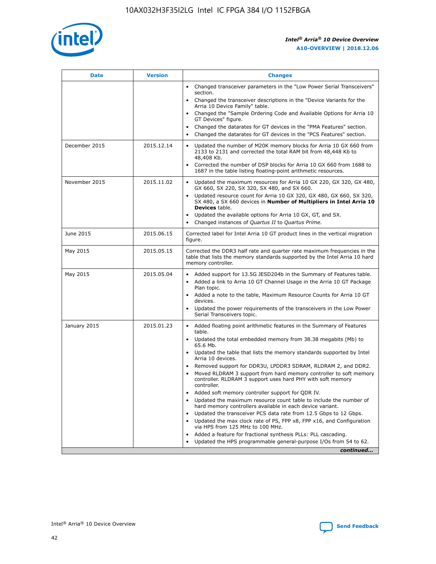

| <b>Date</b>   | <b>Version</b> | <b>Changes</b>                                                                                                                                                                   |
|---------------|----------------|----------------------------------------------------------------------------------------------------------------------------------------------------------------------------------|
|               |                | • Changed transceiver parameters in the "Low Power Serial Transceivers"<br>section.                                                                                              |
|               |                | • Changed the transceiver descriptions in the "Device Variants for the<br>Arria 10 Device Family" table.                                                                         |
|               |                | Changed the "Sample Ordering Code and Available Options for Arria 10<br>GT Devices" figure.                                                                                      |
|               |                | Changed the datarates for GT devices in the "PMA Features" section.                                                                                                              |
|               |                | Changed the datarates for GT devices in the "PCS Features" section.<br>$\bullet$                                                                                                 |
| December 2015 | 2015.12.14     | Updated the number of M20K memory blocks for Arria 10 GX 660 from<br>$\bullet$<br>2133 to 2131 and corrected the total RAM bit from 48,448 Kb to<br>48,408 Kb.                   |
|               |                | Corrected the number of DSP blocks for Arria 10 GX 660 from 1688 to<br>$\bullet$<br>1687 in the table listing floating-point arithmetic resources.                               |
| November 2015 | 2015.11.02     | Updated the maximum resources for Arria 10 GX 220, GX 320, GX 480,<br>$\bullet$<br>GX 660, SX 220, SX 320, SX 480, and SX 660.                                                   |
|               |                | Updated resource count for Arria 10 GX 320, GX 480, GX 660, SX 320,<br>$\bullet$<br>SX 480, a SX 660 devices in Number of Multipliers in Intel Arria 10<br><b>Devices</b> table. |
|               |                | Updated the available options for Arria 10 GX, GT, and SX.<br>$\bullet$                                                                                                          |
|               |                | Changed instances of Quartus II to Quartus Prime.<br>$\bullet$                                                                                                                   |
| June 2015     | 2015.06.15     | Corrected label for Intel Arria 10 GT product lines in the vertical migration<br>figure.                                                                                         |
| May 2015      | 2015.05.15     | Corrected the DDR3 half rate and quarter rate maximum frequencies in the<br>table that lists the memory standards supported by the Intel Arria 10 hard<br>memory controller.     |
| May 2015      | 2015.05.04     | • Added support for 13.5G JESD204b in the Summary of Features table.<br>• Added a link to Arria 10 GT Channel Usage in the Arria 10 GT Package<br>Plan topic.                    |
|               |                | • Added a note to the table, Maximum Resource Counts for Arria 10 GT<br>devices.                                                                                                 |
|               |                | Updated the power requirements of the transceivers in the Low Power<br>Serial Transceivers topic.                                                                                |
| January 2015  | 2015.01.23     | • Added floating point arithmetic features in the Summary of Features<br>table.                                                                                                  |
|               |                | • Updated the total embedded memory from 38.38 megabits (Mb) to<br>65.6 Mb.                                                                                                      |
|               |                | • Updated the table that lists the memory standards supported by Intel<br>Arria 10 devices.                                                                                      |
|               |                | Removed support for DDR3U, LPDDR3 SDRAM, RLDRAM 2, and DDR2.                                                                                                                     |
|               |                | Moved RLDRAM 3 support from hard memory controller to soft memory<br>controller. RLDRAM 3 support uses hard PHY with soft memory<br>controller.                                  |
|               |                | Added soft memory controller support for QDR IV.                                                                                                                                 |
|               |                | Updated the maximum resource count table to include the number of<br>hard memory controllers available in each device variant.                                                   |
|               |                | Updated the transceiver PCS data rate from 12.5 Gbps to 12 Gbps.<br>$\bullet$                                                                                                    |
|               |                | Updated the max clock rate of PS, FPP x8, FPP x16, and Configuration<br>via HPS from 125 MHz to 100 MHz.                                                                         |
|               |                | Added a feature for fractional synthesis PLLs: PLL cascading.                                                                                                                    |
|               |                | Updated the HPS programmable general-purpose I/Os from 54 to 62.                                                                                                                 |
|               |                | continued                                                                                                                                                                        |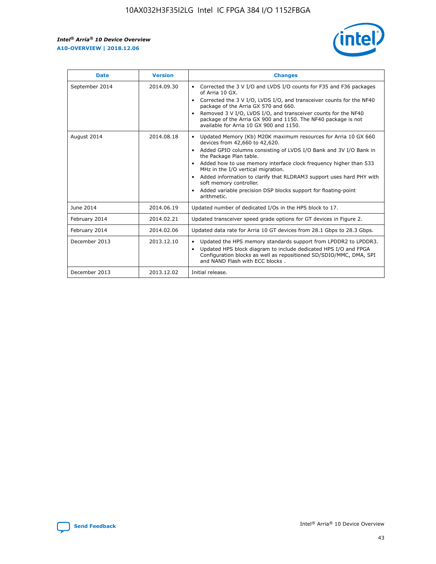r



| <b>Date</b>    | <b>Version</b> | <b>Changes</b>                                                                                                                                                                                                                                                                                                                                                                                                                                                                                                                         |
|----------------|----------------|----------------------------------------------------------------------------------------------------------------------------------------------------------------------------------------------------------------------------------------------------------------------------------------------------------------------------------------------------------------------------------------------------------------------------------------------------------------------------------------------------------------------------------------|
| September 2014 | 2014.09.30     | Corrected the 3 V I/O and LVDS I/O counts for F35 and F36 packages<br>of Arria 10 GX.<br>Corrected the 3 V I/O, LVDS I/O, and transceiver counts for the NF40<br>$\bullet$<br>package of the Arria GX 570 and 660.<br>Removed 3 V I/O, LVDS I/O, and transceiver counts for the NF40<br>package of the Arria GX 900 and 1150. The NF40 package is not<br>available for Arria 10 GX 900 and 1150.                                                                                                                                       |
| August 2014    | 2014.08.18     | Updated Memory (Kb) M20K maximum resources for Arria 10 GX 660<br>devices from 42,660 to 42,620.<br>Added GPIO columns consisting of LVDS I/O Bank and 3V I/O Bank in<br>$\bullet$<br>the Package Plan table.<br>Added how to use memory interface clock frequency higher than 533<br>$\bullet$<br>MHz in the I/O vertical migration.<br>Added information to clarify that RLDRAM3 support uses hard PHY with<br>$\bullet$<br>soft memory controller.<br>Added variable precision DSP blocks support for floating-point<br>arithmetic. |
| June 2014      | 2014.06.19     | Updated number of dedicated I/Os in the HPS block to 17.                                                                                                                                                                                                                                                                                                                                                                                                                                                                               |
| February 2014  | 2014.02.21     | Updated transceiver speed grade options for GT devices in Figure 2.                                                                                                                                                                                                                                                                                                                                                                                                                                                                    |
| February 2014  | 2014.02.06     | Updated data rate for Arria 10 GT devices from 28.1 Gbps to 28.3 Gbps.                                                                                                                                                                                                                                                                                                                                                                                                                                                                 |
| December 2013  | 2013.12.10     | Updated the HPS memory standards support from LPDDR2 to LPDDR3.<br>Updated HPS block diagram to include dedicated HPS I/O and FPGA<br>$\bullet$<br>Configuration blocks as well as repositioned SD/SDIO/MMC, DMA, SPI<br>and NAND Flash with ECC blocks.                                                                                                                                                                                                                                                                               |
| December 2013  | 2013.12.02     | Initial release.                                                                                                                                                                                                                                                                                                                                                                                                                                                                                                                       |